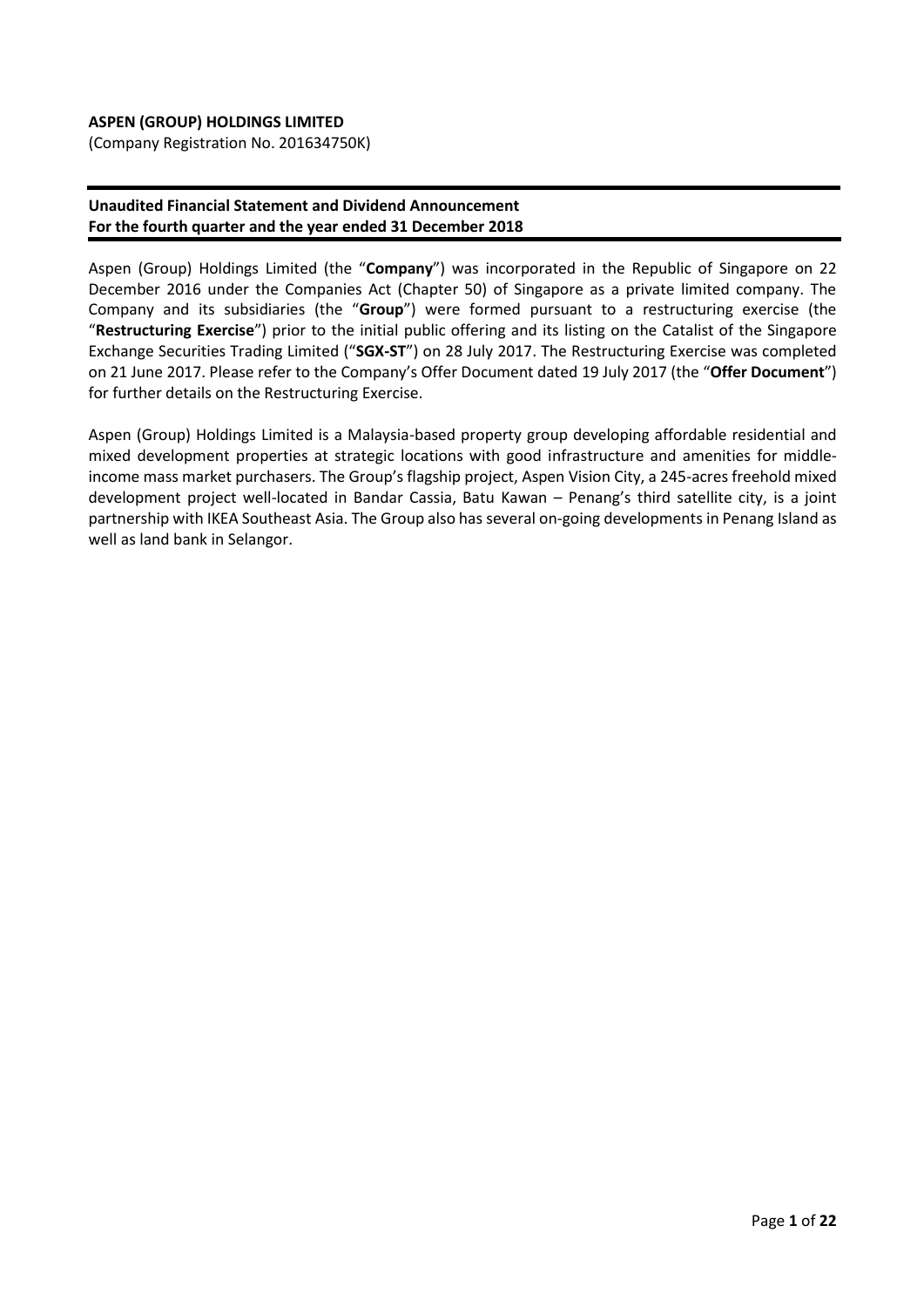## **ASPEN (GROUP) HOLDINGS LIMITED**

(Company Registration No. 201634750K)

#### **Unaudited Financial Statement and Dividend Announcement For the fourth quarter and the year ended 31 December 2018**

Aspen (Group) Holdings Limited (the "**Company**") was incorporated in the Republic of Singapore on 22 December 2016 under the Companies Act (Chapter 50) of Singapore as a private limited company. The Company and its subsidiaries (the "**Group**") were formed pursuant to a restructuring exercise (the "**Restructuring Exercise**") prior to the initial public offering and its listing on the Catalist of the Singapore Exchange Securities Trading Limited ("**SGX-ST**") on 28 July 2017. The Restructuring Exercise was completed on 21 June 2017. Please refer to the Company's Offer Document dated 19 July 2017 (the "**Offer Document**") for further details on the Restructuring Exercise.

Aspen (Group) Holdings Limited is a Malaysia-based property group developing affordable residential and mixed development properties at strategic locations with good infrastructure and amenities for middleincome mass market purchasers. The Group's flagship project, Aspen Vision City, a 245-acres freehold mixed development project well-located in Bandar Cassia, Batu Kawan – Penang's third satellite city, is a joint partnership with IKEA Southeast Asia. The Group also has several on-going developments in Penang Island as well as land bank in Selangor.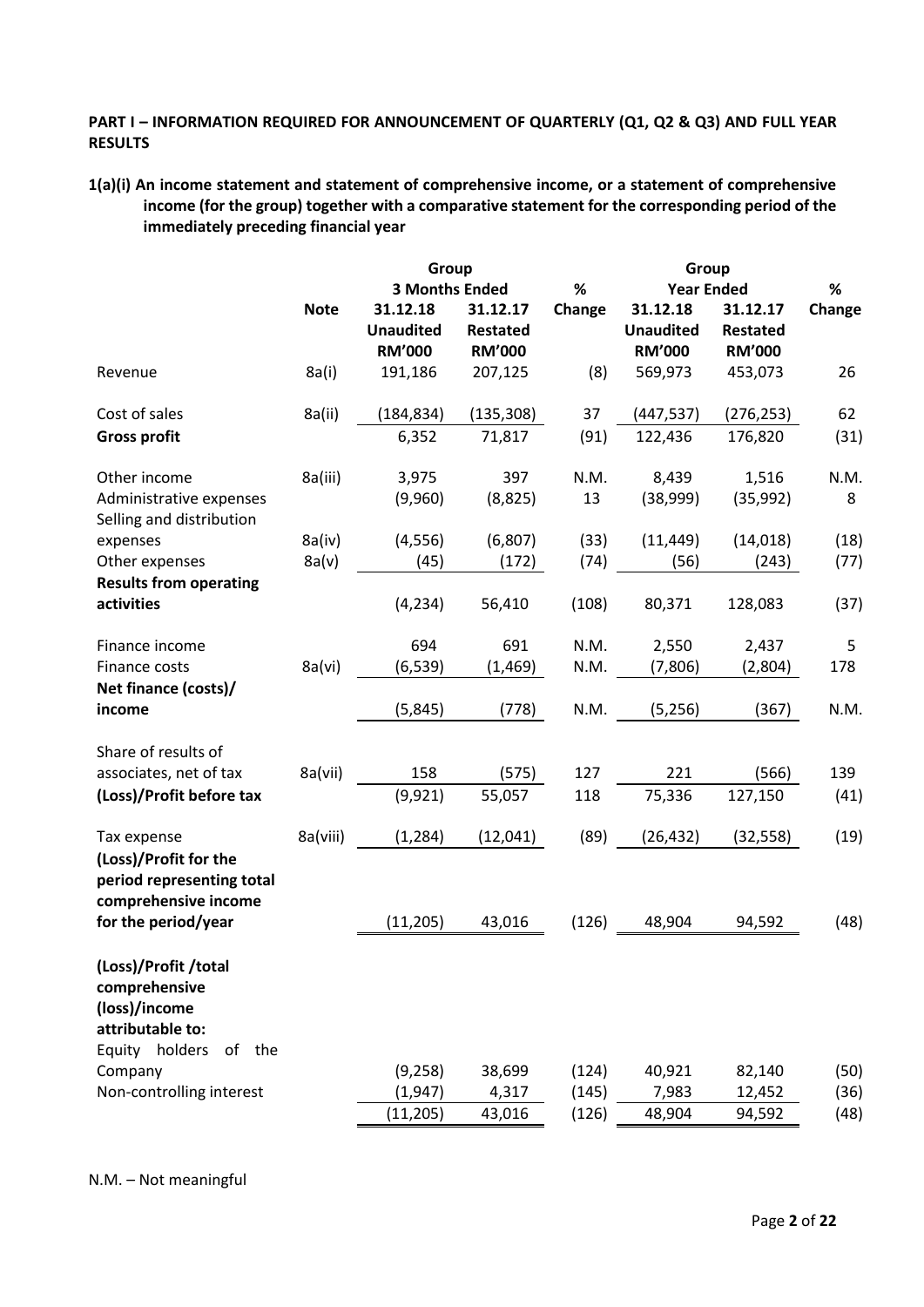# **PART I – INFORMATION REQUIRED FOR ANNOUNCEMENT OF QUARTERLY (Q1, Q2 & Q3) AND FULL YEAR RESULTS**

**1(a)(i) An income statement and statement of comprehensive income, or a statement of comprehensive income (for the group) together with a comparative statement for the corresponding period of the immediately preceding financial year**

|                                                                            |             | Group                 |                 |        |                  |                 |        |
|----------------------------------------------------------------------------|-------------|-----------------------|-----------------|--------|------------------|-----------------|--------|
|                                                                            |             | <b>3 Months Ended</b> |                 | $\%$   | $\%$             |                 |        |
|                                                                            | <b>Note</b> | 31.12.18              | 31.12.17        | Change | 31.12.18         | 31.12.17        | Change |
|                                                                            |             | <b>Unaudited</b>      | <b>Restated</b> |        | <b>Unaudited</b> | <b>Restated</b> |        |
|                                                                            |             | <b>RM'000</b>         | <b>RM'000</b>   |        | <b>RM'000</b>    | <b>RM'000</b>   |        |
| Revenue                                                                    | 8a(i)       | 191,186               | 207,125         | (8)    | 569,973          | 453,073         | 26     |
| Cost of sales                                                              | 8a(ii)      | (184, 834)            | (135, 308)      | 37     | (447, 537)       | (276, 253)      | 62     |
| <b>Gross profit</b>                                                        |             | 6,352                 | 71,817          | (91)   | 122,436          | 176,820         | (31)   |
| Other income                                                               | 8a(iii)     | 3,975                 | 397             | N.M.   | 8,439            | 1,516           | N.M.   |
| Administrative expenses<br>Selling and distribution                        |             | (9,960)               | (8, 825)        | 13     | (38,999)         | (35, 992)       | 8      |
| expenses                                                                   | 8a(iv)      | (4, 556)              | (6,807)         | (33)   | (11, 449)        | (14, 018)       | (18)   |
| Other expenses<br><b>Results from operating</b>                            | 8a(v)       | (45)                  | (172)           | (74)   | (56)             | (243)           | (77)   |
| activities                                                                 |             | (4, 234)              | 56,410          | (108)  | 80,371           | 128,083         | (37)   |
| Finance income                                                             |             | 694                   | 691             | N.M.   | 2,550            | 2,437           | 5      |
| Finance costs<br>Net finance (costs)/                                      | 8a(vi)      | (6, 539)              | (1, 469)        | N.M.   | (7,806)          | (2,804)         | 178    |
| income                                                                     |             | (5, 845)              | (778)           | N.M.   | (5,256)          | (367)           | N.M.   |
| Share of results of                                                        |             |                       |                 |        |                  |                 |        |
| associates, net of tax                                                     | 8a(vii)     | 158                   | (575)           | 127    | 221              | (566)           | 139    |
| (Loss)/Profit before tax                                                   |             | (9, 921)              | 55,057          | 118    | 75,336           | 127,150         | (41)   |
| Tax expense                                                                | 8a(viii)    | (1, 284)              | (12,041)        | (89)   | (26, 432)        | (32, 558)       | (19)   |
| (Loss)/Profit for the<br>period representing total<br>comprehensive income |             |                       |                 |        |                  |                 |        |
| for the period/year                                                        |             | (11, 205)             | 43,016          | (126)  | 48,904           | 94,592          | (48)   |
| (Loss)/Profit/total<br>comprehensive<br>(loss)/income<br>attributable to:  |             |                       |                 |        |                  |                 |        |
| Equity holders<br>of the                                                   |             |                       |                 |        |                  |                 |        |
| Company                                                                    |             | (9, 258)              | 38,699          | (124)  | 40,921           | 82,140          | (50)   |
| Non-controlling interest                                                   |             | (1, 947)              | 4,317           | (145)  | 7,983            | 12,452          | (36)   |
|                                                                            |             | (11, 205)             | 43,016          | (126)  | 48,904           | 94,592          | (48)   |

N.M. – Not meaningful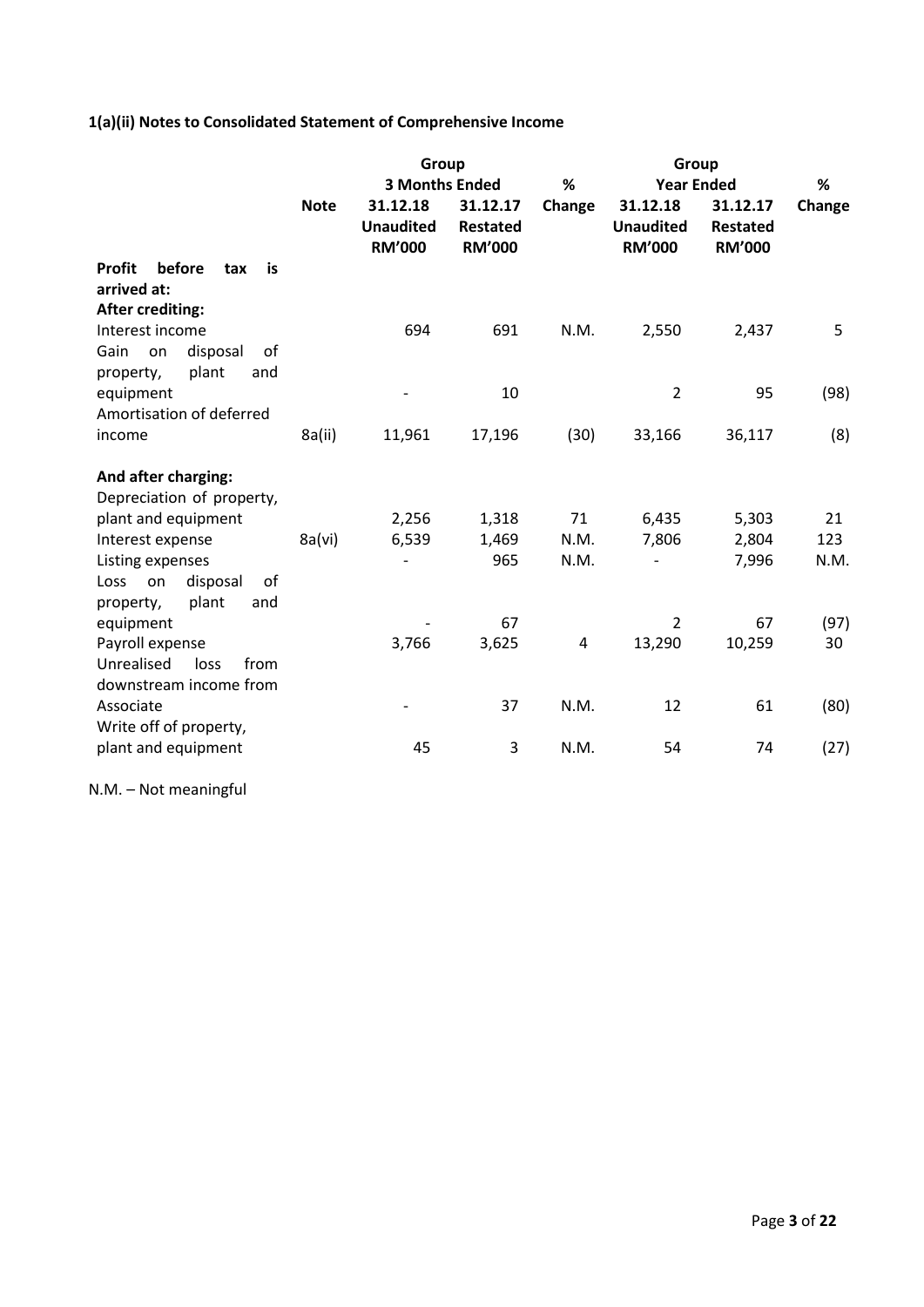# **1(a)(ii) Notes to Consolidated Statement of Comprehensive Income**

|                                      |             | Group                                         |                                              |                | Group                                         |                                              |        |  |
|--------------------------------------|-------------|-----------------------------------------------|----------------------------------------------|----------------|-----------------------------------------------|----------------------------------------------|--------|--|
|                                      |             | <b>3 Months Ended</b>                         |                                              | %              | %                                             |                                              |        |  |
|                                      | <b>Note</b> | 31.12.18<br><b>Unaudited</b><br><b>RM'000</b> | 31.12.17<br><b>Restated</b><br><b>RM'000</b> | Change         | 31.12.18<br><b>Unaudited</b><br><b>RM'000</b> | 31.12.17<br><b>Restated</b><br><b>RM'000</b> | Change |  |
| before<br><b>Profit</b><br>is<br>tax |             |                                               |                                              |                |                                               |                                              |        |  |
| arrived at:                          |             |                                               |                                              |                |                                               |                                              |        |  |
| <b>After crediting:</b>              |             |                                               |                                              |                |                                               |                                              |        |  |
| Interest income                      |             | 694                                           | 691                                          | N.M.           | 2,550                                         | 2,437                                        | 5      |  |
| of<br>Gain<br>disposal<br>on         |             |                                               |                                              |                |                                               |                                              |        |  |
| plant<br>and<br>property,            |             |                                               |                                              |                |                                               |                                              |        |  |
| equipment                            |             |                                               | 10                                           |                | $\overline{2}$                                | 95                                           | (98)   |  |
| Amortisation of deferred             |             |                                               |                                              |                |                                               |                                              |        |  |
| income                               | 8a(ii)      | 11,961                                        | 17,196                                       | (30)           | 33,166                                        | 36,117                                       | (8)    |  |
| And after charging:                  |             |                                               |                                              |                |                                               |                                              |        |  |
| Depreciation of property,            |             |                                               |                                              |                |                                               |                                              |        |  |
| plant and equipment                  |             | 2,256                                         | 1,318                                        | 71             | 6,435                                         | 5,303                                        | 21     |  |
| Interest expense                     | 8a(vi)      | 6,539                                         | 1,469                                        | N.M.           | 7,806                                         | 2,804                                        | 123    |  |
| Listing expenses                     |             |                                               | 965                                          | N.M.           |                                               | 7,996                                        | N.M.   |  |
| disposal<br>of<br>on<br>Loss         |             |                                               |                                              |                |                                               |                                              |        |  |
| plant<br>and<br>property,            |             |                                               |                                              |                |                                               |                                              |        |  |
| equipment                            |             |                                               | 67                                           |                | 2                                             | 67                                           | (97)   |  |
| Payroll expense                      |             | 3,766                                         | 3,625                                        | $\overline{4}$ | 13,290                                        | 10,259                                       | 30     |  |
| Unrealised<br>from<br>loss           |             |                                               |                                              |                |                                               |                                              |        |  |
| downstream income from               |             |                                               |                                              |                |                                               |                                              |        |  |
| Associate                            |             |                                               | 37                                           | N.M.           | 12                                            | 61                                           | (80)   |  |
| Write off of property,               |             |                                               |                                              |                |                                               |                                              |        |  |
| plant and equipment                  |             | 45                                            | 3                                            | N.M.           | 54                                            | 74                                           | (27)   |  |

N.M. – Not meaningful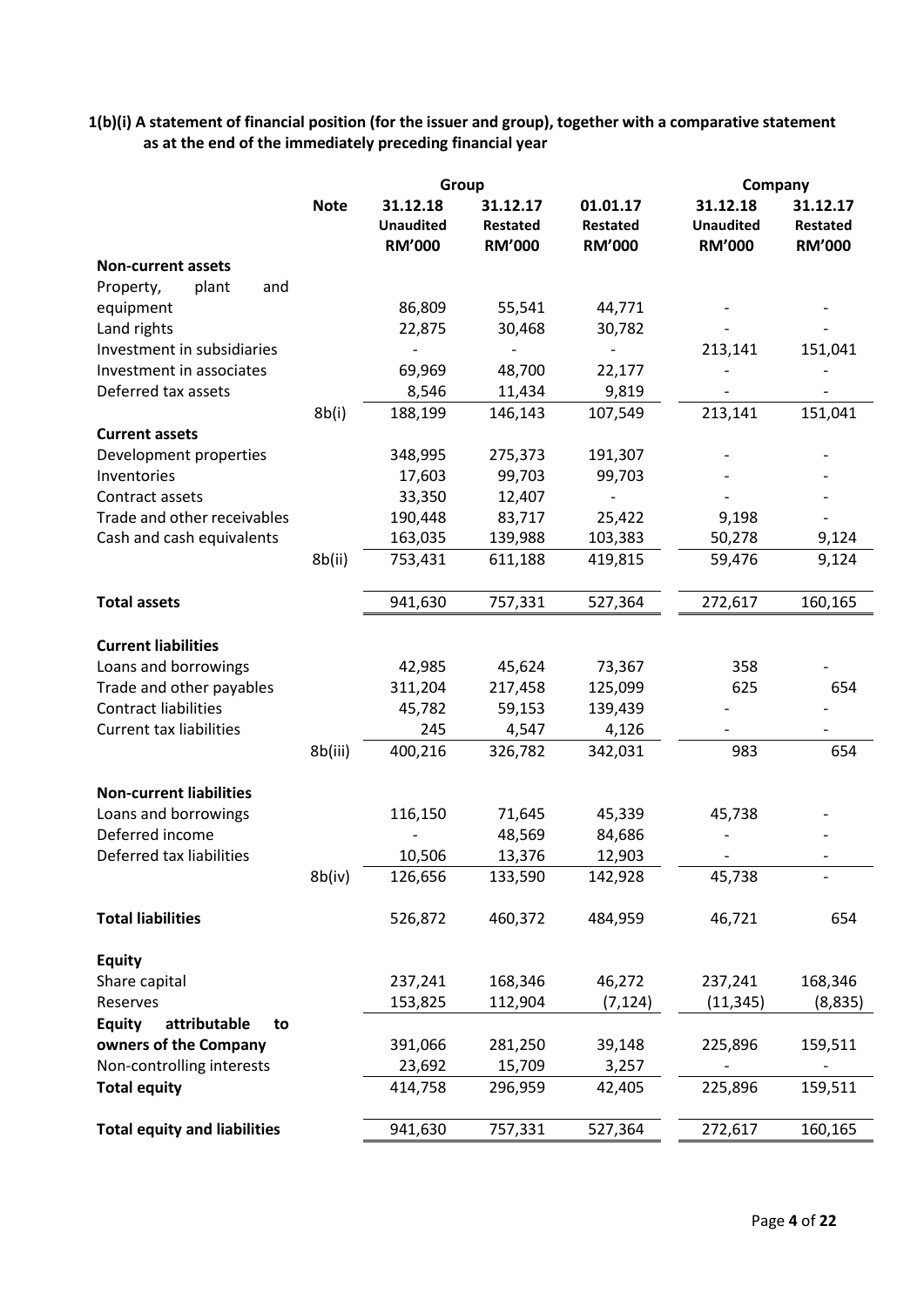**1(b)(i) A statement of financial position (for the issuer and group), together with a comparative statement as at the end of the immediately preceding financial year**

|                                     |             | Group                                         |                                       |                                              | Company                                       |                                              |
|-------------------------------------|-------------|-----------------------------------------------|---------------------------------------|----------------------------------------------|-----------------------------------------------|----------------------------------------------|
|                                     | <b>Note</b> | 31.12.18<br><b>Unaudited</b><br><b>RM'000</b> | 31.12.17<br>Restated<br><b>RM'000</b> | 01.01.17<br><b>Restated</b><br><b>RM'000</b> | 31.12.18<br><b>Unaudited</b><br><b>RM'000</b> | 31.12.17<br><b>Restated</b><br><b>RM'000</b> |
| <b>Non-current assets</b>           |             |                                               |                                       |                                              |                                               |                                              |
| and<br>Property,<br>plant           |             |                                               |                                       |                                              |                                               |                                              |
| equipment                           |             | 86,809                                        | 55,541                                | 44,771                                       |                                               |                                              |
| Land rights                         |             | 22,875                                        | 30,468                                | 30,782                                       |                                               |                                              |
| Investment in subsidiaries          |             |                                               |                                       |                                              | 213,141                                       | 151,041                                      |
| Investment in associates            |             | 69,969                                        | 48,700                                | 22,177                                       |                                               |                                              |
| Deferred tax assets                 |             | 8,546                                         | 11,434                                | 9,819                                        |                                               |                                              |
|                                     | 8b(i)       | 188,199                                       | 146,143                               | 107,549                                      | 213,141                                       | 151,041                                      |
| <b>Current assets</b>               |             |                                               |                                       |                                              |                                               |                                              |
| Development properties              |             | 348,995                                       | 275,373                               | 191,307                                      |                                               |                                              |
| Inventories                         |             | 17,603                                        | 99,703                                | 99,703                                       |                                               |                                              |
| Contract assets                     |             | 33,350                                        | 12,407                                |                                              |                                               |                                              |
| Trade and other receivables         |             | 190,448                                       | 83,717                                | 25,422                                       | 9,198                                         |                                              |
| Cash and cash equivalents           |             | 163,035                                       | 139,988                               | 103,383                                      | 50,278                                        | 9,124                                        |
|                                     | 8b(ii)      | 753,431                                       | 611,188                               | 419,815                                      | 59,476                                        | 9,124                                        |
| <b>Total assets</b>                 |             | 941,630                                       | 757,331                               | 527,364                                      | 272,617                                       | 160,165                                      |
| <b>Current liabilities</b>          |             |                                               |                                       |                                              |                                               |                                              |
| Loans and borrowings                |             | 42,985                                        | 45,624                                | 73,367                                       | 358                                           |                                              |
| Trade and other payables            |             | 311,204                                       | 217,458                               | 125,099                                      | 625                                           | 654                                          |
| <b>Contract liabilities</b>         |             | 45,782                                        | 59,153                                | 139,439                                      |                                               |                                              |
| <b>Current tax liabilities</b>      |             | 245                                           | 4,547                                 | 4,126                                        |                                               |                                              |
|                                     | 8b(iii)     | 400,216                                       | 326,782                               | 342,031                                      | 983                                           | 654                                          |
| <b>Non-current liabilities</b>      |             |                                               |                                       |                                              |                                               |                                              |
| Loans and borrowings                |             | 116,150                                       | 71,645                                | 45,339                                       | 45,738                                        |                                              |
| Deferred income                     |             |                                               | 48,569                                | 84,686                                       |                                               |                                              |
| Deferred tax liabilities            |             | 10,506                                        | 13,376                                | 12,903                                       |                                               |                                              |
|                                     | 8b(iv)      | 126,656                                       | 133,590                               | 142,928                                      | 45,738                                        |                                              |
| <b>Total liabilities</b>            |             | 526,872                                       | 460,372                               | 484,959                                      | 46,721                                        | 654                                          |
| <b>Equity</b>                       |             |                                               |                                       |                                              |                                               |                                              |
| Share capital                       |             | 237,241                                       | 168,346                               | 46,272                                       | 237,241                                       | 168,346                                      |
| Reserves                            |             | 153,825                                       | 112,904                               | (7, 124)                                     | (11, 345)                                     | (8,835)                                      |
| attributable<br><b>Equity</b><br>to |             |                                               |                                       |                                              |                                               |                                              |
| owners of the Company               |             | 391,066                                       | 281,250                               | 39,148                                       | 225,896                                       | 159,511                                      |
| Non-controlling interests           |             | 23,692                                        | 15,709                                | 3,257                                        |                                               |                                              |
| <b>Total equity</b>                 |             | 414,758                                       | 296,959                               | 42,405                                       | 225,896                                       | 159,511                                      |
| <b>Total equity and liabilities</b> |             | 941,630                                       | 757,331                               | 527,364                                      | 272,617                                       | 160,165                                      |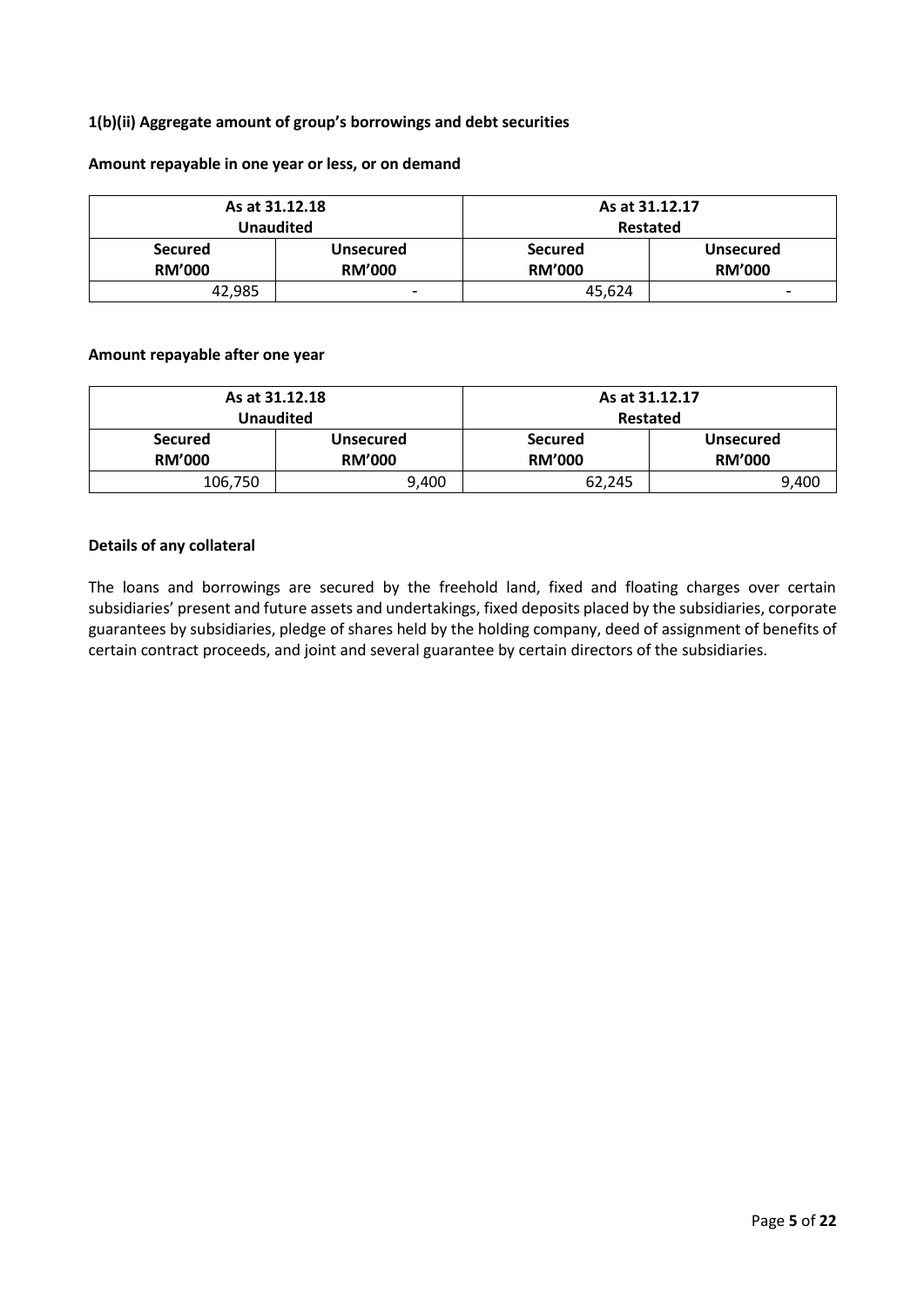# **1(b)(ii) Aggregate amount of group's borrowings and debt securities**

#### **Amount repayable in one year or less, or on demand**

|                | As at 31.12.18   | As at 31.12.17 |                  |  |  |
|----------------|------------------|----------------|------------------|--|--|
|                | Unaudited        | Restated       |                  |  |  |
| <b>Secured</b> | <b>Unsecured</b> | <b>Secured</b> | <b>Unsecured</b> |  |  |
| <b>RM'000</b>  | <b>RM'000</b>    | <b>RM'000</b>  | <b>RM'000</b>    |  |  |
| 42,985         | -                | 45,624         | -                |  |  |

#### **Amount repayable after one year**

|                | As at 31.12.18   | As at 31.12.17 |                  |  |  |
|----------------|------------------|----------------|------------------|--|--|
|                | <b>Unaudited</b> | Restated       |                  |  |  |
| <b>Secured</b> | Unsecured        | <b>Secured</b> | <b>Unsecured</b> |  |  |
| <b>RM'000</b>  | <b>RM'000</b>    | <b>RM'000</b>  | <b>RM'000</b>    |  |  |
| 106,750        | 9,400            | 62,245         | 9,400            |  |  |

#### **Details of any collateral**

The loans and borrowings are secured by the freehold land, fixed and floating charges over certain subsidiaries' present and future assets and undertakings, fixed deposits placed by the subsidiaries, corporate guarantees by subsidiaries, pledge of shares held by the holding company, deed of assignment of benefits of certain contract proceeds, and joint and several guarantee by certain directors of the subsidiaries.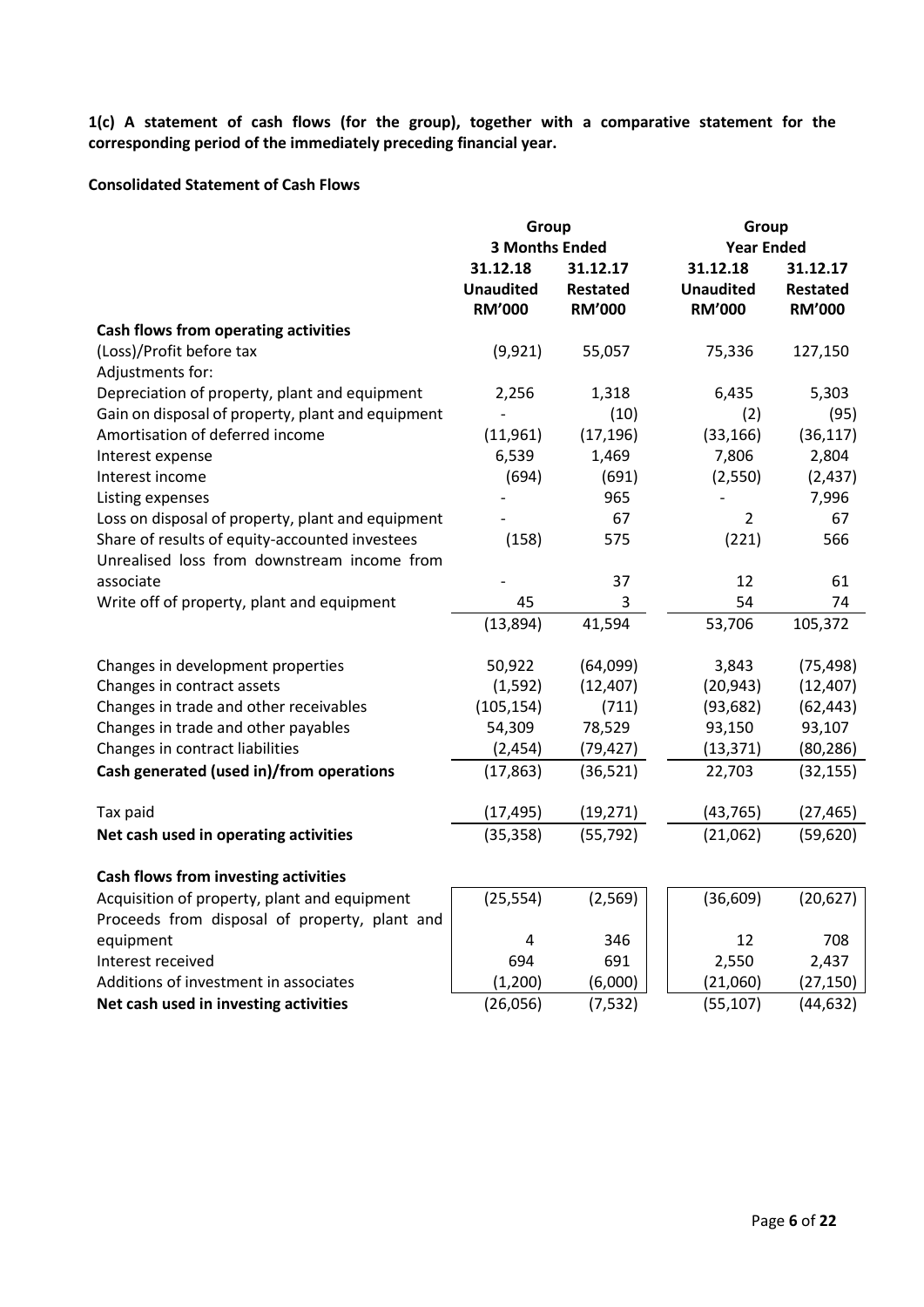**1(c) A statement of cash flows (for the group), together with a comparative statement for the corresponding period of the immediately preceding financial year.**

## **Consolidated Statement of Cash Flows**

|                                                   | Group<br><b>3 Months Ended</b>                |                                              | Group<br><b>Year Ended</b>                    |                                              |
|---------------------------------------------------|-----------------------------------------------|----------------------------------------------|-----------------------------------------------|----------------------------------------------|
|                                                   | 31.12.18<br><b>Unaudited</b><br><b>RM'000</b> | 31.12.17<br><b>Restated</b><br><b>RM'000</b> | 31.12.18<br><b>Unaudited</b><br><b>RM'000</b> | 31.12.17<br><b>Restated</b><br><b>RM'000</b> |
| <b>Cash flows from operating activities</b>       |                                               |                                              |                                               |                                              |
| (Loss)/Profit before tax<br>Adjustments for:      | (9,921)                                       | 55,057                                       | 75,336                                        | 127,150                                      |
| Depreciation of property, plant and equipment     | 2,256                                         | 1,318                                        | 6,435                                         | 5,303                                        |
| Gain on disposal of property, plant and equipment | $\overline{a}$                                | (10)                                         | (2)                                           | (95)                                         |
| Amortisation of deferred income                   | (11,961)                                      | (17, 196)                                    | (33, 166)                                     | (36, 117)                                    |
| Interest expense                                  | 6,539                                         | 1,469                                        | 7,806                                         | 2,804                                        |
| Interest income                                   | (694)                                         | (691)                                        | (2,550)                                       | (2, 437)                                     |
| Listing expenses                                  |                                               | 965                                          | $\overline{\phantom{a}}$                      | 7,996                                        |
| Loss on disposal of property, plant and equipment |                                               | 67                                           | $\overline{2}$                                | 67                                           |
| Share of results of equity-accounted investees    | (158)                                         | 575                                          | (221)                                         | 566                                          |
| Unrealised loss from downstream income from       |                                               |                                              |                                               |                                              |
| associate                                         |                                               | 37                                           | 12                                            | 61                                           |
| Write off of property, plant and equipment        | 45                                            | 3                                            | 54                                            | 74                                           |
|                                                   | (13,894)                                      | 41,594                                       | 53,706                                        | 105,372                                      |
| Changes in development properties                 | 50,922                                        | (64,099)                                     | 3,843                                         | (75, 498)                                    |
| Changes in contract assets                        | (1, 592)                                      | (12, 407)                                    | (20, 943)                                     | (12, 407)                                    |
| Changes in trade and other receivables            | (105, 154)                                    | (711)                                        | (93, 682)                                     | (62, 443)                                    |
| Changes in trade and other payables               | 54,309                                        | 78,529                                       | 93,150                                        | 93,107                                       |
| Changes in contract liabilities                   | (2, 454)                                      | (79, 427)                                    | (13, 371)                                     | (80, 286)                                    |
| Cash generated (used in)/from operations          | (17, 863)                                     | (36, 521)                                    | 22,703                                        | (32, 155)                                    |
| Tax paid                                          | (17, 495)                                     | (19, 271)                                    | (43, 765)                                     | (27, 465)                                    |
| Net cash used in operating activities             | (35, 358)                                     | (55, 792)                                    | (21,062)                                      | (59, 620)                                    |
| Cash flows from investing activities              |                                               |                                              |                                               |                                              |
| Acquisition of property, plant and equipment      | (25, 554)                                     | (2, 569)                                     | (36, 609)                                     | (20, 627)                                    |
| Proceeds from disposal of property, plant and     |                                               |                                              |                                               |                                              |
| equipment                                         | 4                                             | 346                                          | 12                                            | 708                                          |
| Interest received                                 | 694                                           | 691                                          | 2,550                                         | 2,437                                        |
| Additions of investment in associates             | (1, 200)                                      | (6,000)                                      | (21,060)                                      | (27, 150)                                    |
| Net cash used in investing activities             | (26,056)                                      | (7, 532)                                     | (55, 107)                                     | (44, 632)                                    |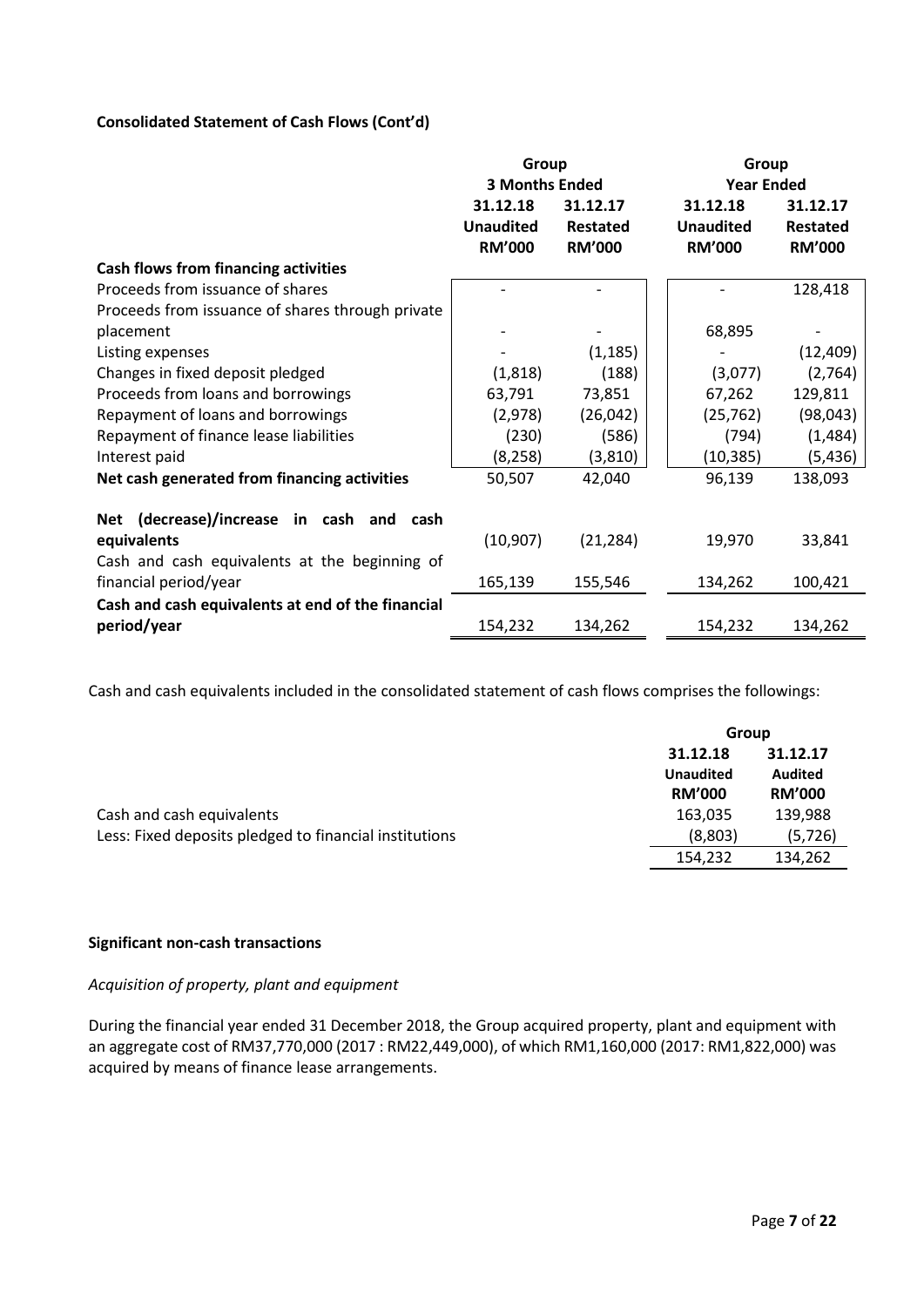# **Consolidated Statement of Cash Flows (Cont'd)**

|                                                   | Group                 |               | Group             |                 |  |
|---------------------------------------------------|-----------------------|---------------|-------------------|-----------------|--|
|                                                   | <b>3 Months Ended</b> |               | <b>Year Ended</b> |                 |  |
|                                                   | 31.12.18              | 31.12.17      | 31.12.18          | 31.12.17        |  |
|                                                   | <b>Unaudited</b>      | Restated      | <b>Unaudited</b>  | <b>Restated</b> |  |
|                                                   | <b>RM'000</b>         | <b>RM'000</b> | <b>RM'000</b>     | <b>RM'000</b>   |  |
| <b>Cash flows from financing activities</b>       |                       |               |                   |                 |  |
| Proceeds from issuance of shares                  |                       |               |                   | 128,418         |  |
| Proceeds from issuance of shares through private  |                       |               |                   |                 |  |
| placement                                         |                       |               | 68,895            |                 |  |
| Listing expenses                                  |                       | (1, 185)      |                   | (12, 409)       |  |
| Changes in fixed deposit pledged                  | (1,818)               | (188)         | (3,077)           | (2,764)         |  |
| Proceeds from loans and borrowings                | 63,791                | 73,851        | 67,262            | 129,811         |  |
| Repayment of loans and borrowings                 | (2,978)               | (26, 042)     | (25, 762)         | (98, 043)       |  |
| Repayment of finance lease liabilities            | (230)                 | (586)         | (794)             | (1,484)         |  |
| Interest paid                                     | (8, 258)              | (3, 810)      | (10, 385)         | (5, 436)        |  |
| Net cash generated from financing activities      | 50,507                | 42,040        | 96,139            | 138,093         |  |
| Net (decrease)/increase in cash and cash          |                       |               |                   |                 |  |
| equivalents                                       | (10, 907)             | (21, 284)     | 19,970            | 33,841          |  |
| Cash and cash equivalents at the beginning of     |                       |               |                   |                 |  |
| financial period/year                             | 165,139               | 155,546       | 134,262           | 100,421         |  |
| Cash and cash equivalents at end of the financial |                       |               |                   |                 |  |
| period/year                                       | 154,232               | 134,262       | 154,232           | 134,262         |  |

Cash and cash equivalents included in the consolidated statement of cash flows comprises the followings:

|                                                        |                  | Group          |  |  |
|--------------------------------------------------------|------------------|----------------|--|--|
|                                                        | 31.12.18         | 31.12.17       |  |  |
|                                                        | <b>Unaudited</b> | <b>Audited</b> |  |  |
|                                                        | <b>RM'000</b>    | <b>RM'000</b>  |  |  |
| Cash and cash equivalents                              | 163,035          | 139,988        |  |  |
| Less: Fixed deposits pledged to financial institutions | (8,803)          | (5, 726)       |  |  |
|                                                        | 154,232          | 134,262        |  |  |

# **Significant non-cash transactions**

#### *Acquisition of property, plant and equipment*

During the financial year ended 31 December 2018, the Group acquired property, plant and equipment with an aggregate cost of RM37,770,000 (2017 : RM22,449,000), of which RM1,160,000 (2017: RM1,822,000) was acquired by means of finance lease arrangements.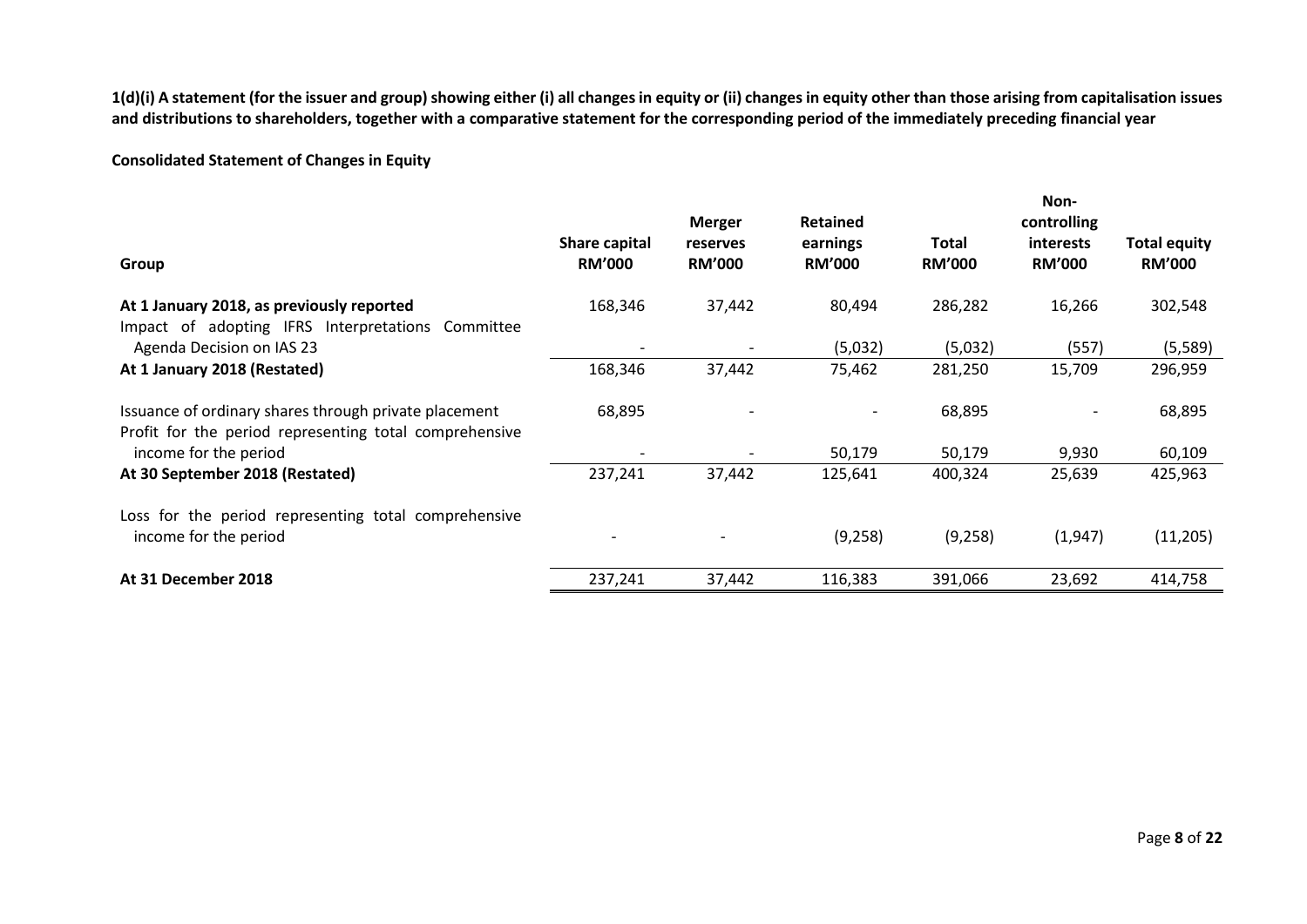**1(d)(i) A statement (for the issuer and group) showing either (i) all changes in equity or (ii) changes in equity other than those arising from capitalisation issues and distributions to shareholders, together with a comparative statement for the corresponding period of the immediately preceding financial year**

# **Consolidated Statement of Changes in Equity**

|                                                                                                                 |                                | <b>Merger</b>             | <b>Retained</b>           |                        | Non-<br>controlling        |                                      |
|-----------------------------------------------------------------------------------------------------------------|--------------------------------|---------------------------|---------------------------|------------------------|----------------------------|--------------------------------------|
| Group                                                                                                           | Share capital<br><b>RM'000</b> | reserves<br><b>RM'000</b> | earnings<br><b>RM'000</b> | Total<br><b>RM'000</b> | interests<br><b>RM'000</b> | <b>Total equity</b><br><b>RM'000</b> |
| At 1 January 2018, as previously reported<br>Impact of adopting IFRS Interpretations Committee                  | 168,346                        | 37,442                    | 80,494                    | 286,282                | 16,266                     | 302,548                              |
| Agenda Decision on IAS 23                                                                                       |                                |                           | (5,032)                   | (5,032)                | (557)                      | (5,589)                              |
| At 1 January 2018 (Restated)                                                                                    | 168,346                        | 37,442                    | 75,462                    | 281,250                | 15,709                     | 296,959                              |
| Issuance of ordinary shares through private placement<br>Profit for the period representing total comprehensive | 68,895                         |                           |                           | 68,895                 |                            | 68,895                               |
| income for the period                                                                                           |                                |                           | 50,179                    | 50,179                 | 9,930                      | 60,109                               |
| At 30 September 2018 (Restated)                                                                                 | 237,241                        | 37,442                    | 125,641                   | 400,324                | 25,639                     | 425,963                              |
| Loss for the period representing total comprehensive                                                            |                                |                           |                           |                        |                            |                                      |
| income for the period                                                                                           |                                |                           | (9, 258)                  | (9, 258)               | (1, 947)                   | (11,205)                             |
| At 31 December 2018                                                                                             | 237,241                        | 37,442                    | 116,383                   | 391,066                | 23,692                     | 414,758                              |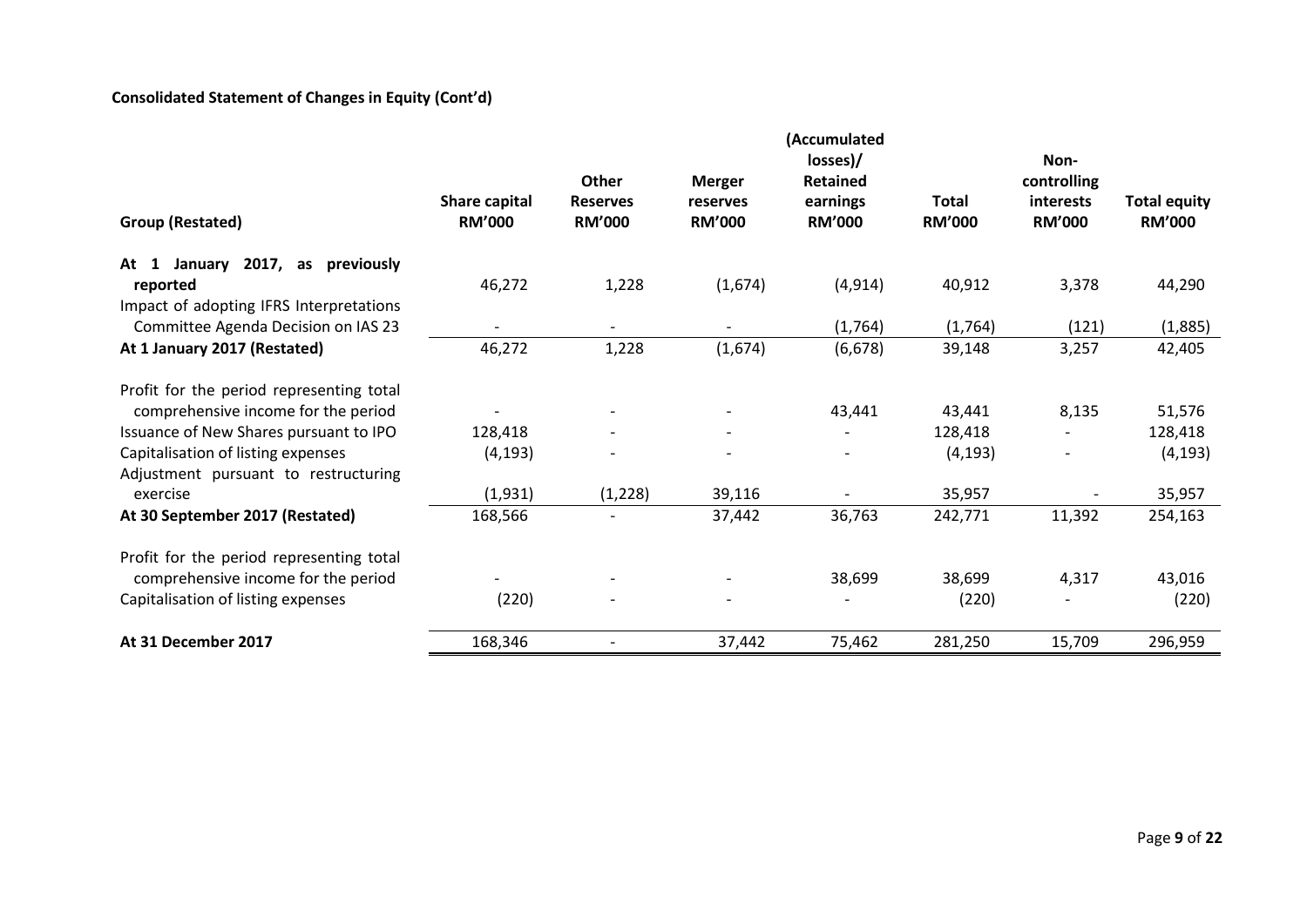# **Consolidated Statement of Changes in Equity (Cont'd)**

|                                             | (Accumulated                   |                                  |                           |                           |                               |                            |                                      |
|---------------------------------------------|--------------------------------|----------------------------------|---------------------------|---------------------------|-------------------------------|----------------------------|--------------------------------------|
|                                             |                                |                                  |                           | losses)/                  |                               | Non-                       |                                      |
|                                             |                                | Other                            | <b>Merger</b>             | <b>Retained</b>           |                               | controlling                |                                      |
| Group (Restated)                            | Share capital<br><b>RM'000</b> | <b>Reserves</b><br><b>RM'000</b> | reserves<br><b>RM'000</b> | earnings<br><b>RM'000</b> | <b>Total</b><br><b>RM'000</b> | interests<br><b>RM'000</b> | <b>Total equity</b><br><b>RM'000</b> |
|                                             |                                |                                  |                           |                           |                               |                            |                                      |
| 2017, as<br>previously<br>At $1$<br>January |                                |                                  |                           |                           |                               |                            |                                      |
| reported                                    | 46,272                         | 1,228                            | (1,674)                   | (4, 914)                  | 40,912                        | 3,378                      | 44,290                               |
| Impact of adopting IFRS Interpretations     |                                |                                  |                           |                           |                               |                            |                                      |
| Committee Agenda Decision on IAS 23         |                                |                                  |                           | (1,764)                   | (1,764)                       | (121)                      | (1,885)                              |
| At 1 January 2017 (Restated)                | 46,272                         | 1,228                            | (1,674)                   | (6, 678)                  | 39,148                        | 3,257                      | 42,405                               |
| Profit for the period representing total    |                                |                                  |                           |                           |                               |                            |                                      |
| comprehensive income for the period         |                                |                                  |                           | 43,441                    | 43,441                        | 8,135                      | 51,576                               |
| Issuance of New Shares pursuant to IPO      | 128,418                        |                                  |                           |                           | 128,418                       |                            | 128,418                              |
| Capitalisation of listing expenses          | (4, 193)                       |                                  |                           |                           | (4, 193)                      |                            | (4, 193)                             |
| Adjustment pursuant to restructuring        |                                |                                  |                           |                           |                               |                            |                                      |
| exercise                                    | (1,931)                        | (1, 228)                         | 39,116                    |                           | 35,957                        | $\overline{\phantom{a}}$   | 35,957                               |
| At 30 September 2017 (Restated)             | 168,566                        |                                  | 37,442                    | 36,763                    | 242,771                       | 11,392                     | 254,163                              |
| Profit for the period representing total    |                                |                                  |                           |                           |                               |                            |                                      |
| comprehensive income for the period         |                                |                                  |                           | 38,699                    | 38,699                        | 4,317                      | 43,016                               |
| Capitalisation of listing expenses          | (220)                          |                                  |                           |                           | (220)                         | $\overline{\phantom{a}}$   | (220)                                |
|                                             |                                |                                  |                           |                           |                               |                            |                                      |
| At 31 December 2017                         | 168,346                        |                                  | 37,442                    | 75,462                    | 281,250                       | 15,709                     | 296,959                              |
|                                             |                                |                                  |                           |                           |                               |                            |                                      |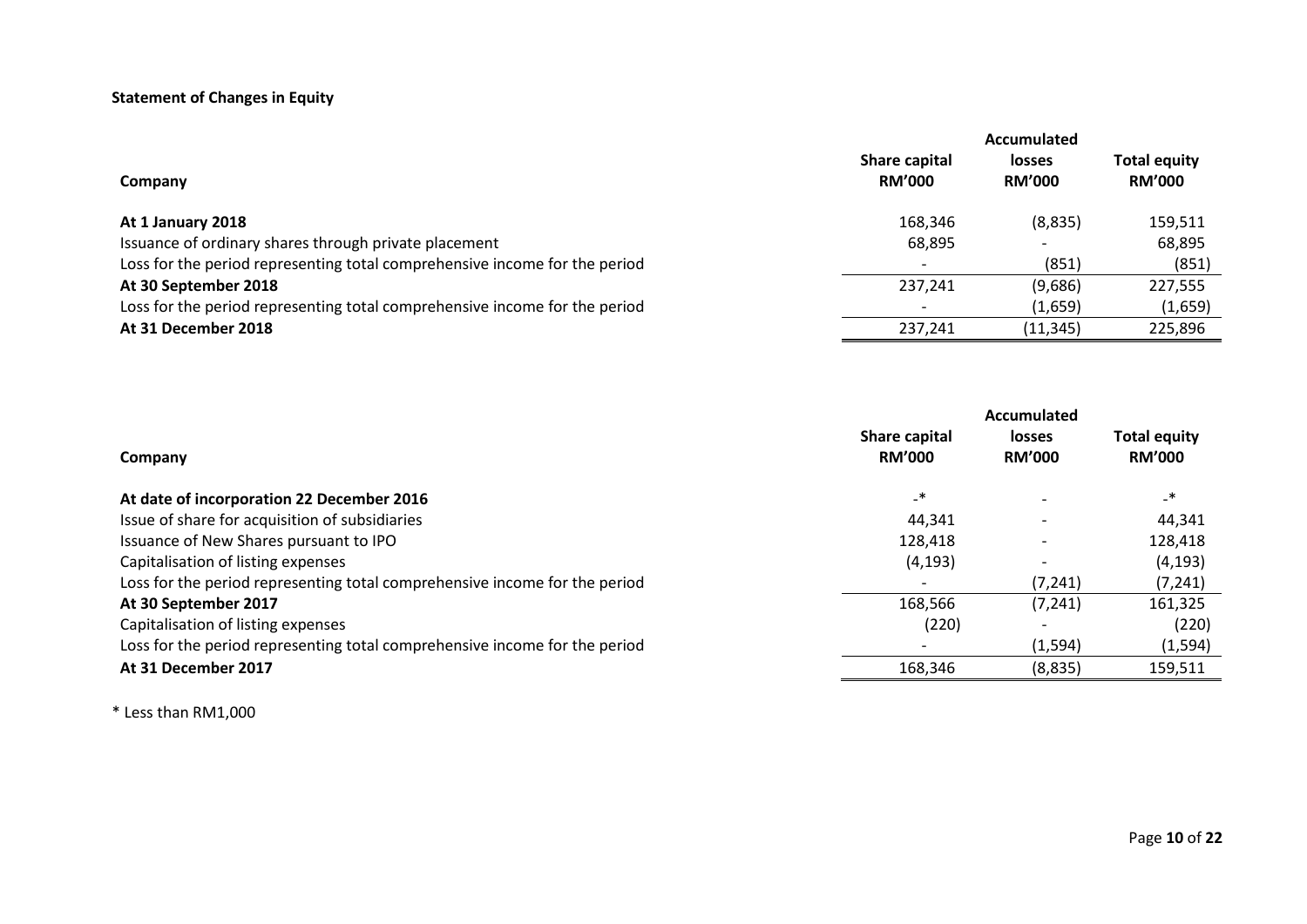# **Statement of Changes in Equity**

|                                                                            | Accumulated                           |                                |                                      |  |  |
|----------------------------------------------------------------------------|---------------------------------------|--------------------------------|--------------------------------------|--|--|
| Company                                                                    | <b>Share capital</b><br><b>RM'000</b> | <b>losses</b><br><b>RM'000</b> | <b>Total equity</b><br><b>RM'000</b> |  |  |
| At 1 January 2018                                                          | 168,346                               | (8,835)                        | 159,511                              |  |  |
| Issuance of ordinary shares through private placement                      | 68,895                                | $\overline{\phantom{0}}$       | 68,895                               |  |  |
| Loss for the period representing total comprehensive income for the period | $\overline{\phantom{0}}$              | (851)                          | (851)                                |  |  |
| At 30 September 2018                                                       | 237,241                               | (9,686)                        | 227,555                              |  |  |
| Loss for the period representing total comprehensive income for the period | $\overline{\phantom{0}}$              | (1,659)                        | (1,659)                              |  |  |
| At 31 December 2018                                                        | 237,241                               | (11, 345)                      | 225,896                              |  |  |

|                                                                            | Accumulated                    |                                |                                      |  |
|----------------------------------------------------------------------------|--------------------------------|--------------------------------|--------------------------------------|--|
| Company                                                                    | Share capital<br><b>RM'000</b> | <b>losses</b><br><b>RM'000</b> | <b>Total equity</b><br><b>RM'000</b> |  |
| At date of incorporation 22 December 2016                                  | $\overline{\phantom{a}}$       |                                | $\overline{\phantom{a}}$             |  |
| Issue of share for acquisition of subsidiaries                             | 44,341                         |                                | 44,341                               |  |
| Issuance of New Shares pursuant to IPO                                     | 128,418                        |                                | 128,418                              |  |
| Capitalisation of listing expenses                                         | (4, 193)                       |                                | (4, 193)                             |  |
| Loss for the period representing total comprehensive income for the period |                                | (7, 241)                       | (7, 241)                             |  |
| At 30 September 2017                                                       | 168,566                        | (7, 241)                       | 161,325                              |  |
| Capitalisation of listing expenses                                         | (220)                          |                                | (220)                                |  |
| Loss for the period representing total comprehensive income for the period |                                | (1, 594)                       | (1, 594)                             |  |
| At 31 December 2017                                                        | 168,346                        | (8,835)                        | 159,511                              |  |

\* Less than RM1,000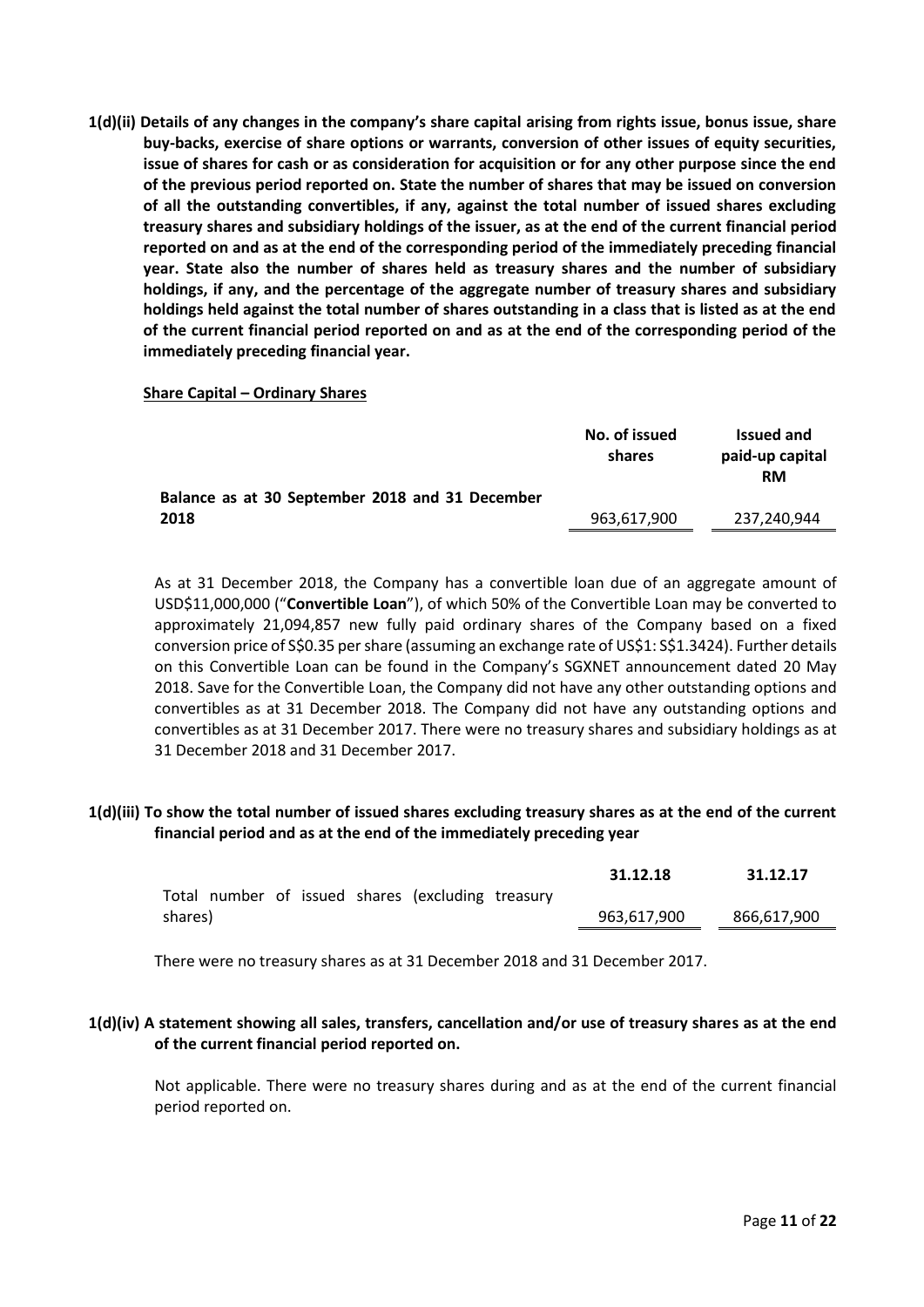**1(d)(ii) Details of any changes in the company's share capital arising from rights issue, bonus issue, share buy-backs, exercise of share options or warrants, conversion of other issues of equity securities, issue of shares for cash or as consideration for acquisition or for any other purpose since the end of the previous period reported on. State the number of shares that may be issued on conversion of all the outstanding convertibles, if any, against the total number of issued shares excluding treasury shares and subsidiary holdings of the issuer, as at the end of the current financial period reported on and as at the end of the corresponding period of the immediately preceding financial year. State also the number of shares held as treasury shares and the number of subsidiary holdings, if any, and the percentage of the aggregate number of treasury shares and subsidiary holdings held against the total number of shares outstanding in a class that is listed as at the end of the current financial period reported on and as at the end of the corresponding period of the immediately preceding financial year.**

#### **Share Capital – Ordinary Shares**

|                                                 | No. of issued<br>shares | <b>Issued and</b><br>paid-up capital<br><b>RM</b> |
|-------------------------------------------------|-------------------------|---------------------------------------------------|
| Balance as at 30 September 2018 and 31 December |                         |                                                   |
| 2018                                            | 963,617,900             | 237.240.944                                       |

As at 31 December 2018, the Company has a convertible loan due of an aggregate amount of USD\$11,000,000 ("**Convertible Loan**"), of which 50% of the Convertible Loan may be converted to approximately 21,094,857 new fully paid ordinary shares of the Company based on a fixed conversion price of S\$0.35 per share (assuming an exchange rate of US\$1: S\$1.3424). Further details on this Convertible Loan can be found in the Company's SGXNET announcement dated 20 May 2018. Save for the Convertible Loan, the Company did not have any other outstanding options and convertibles as at 31 December 2018. The Company did not have any outstanding options and convertibles as at 31 December 2017. There were no treasury shares and subsidiary holdings as at 31 December 2018 and 31 December 2017.

## **1(d)(iii) To show the total number of issued shares excluding treasury shares as at the end of the current financial period and as at the end of the immediately preceding year**

|         |  |  |                                                   | 31.12.18    | 31.12.17    |
|---------|--|--|---------------------------------------------------|-------------|-------------|
|         |  |  | Total number of issued shares (excluding treasury |             |             |
| shares) |  |  |                                                   | 963,617,900 | 866,617,900 |
|         |  |  |                                                   |             |             |

There were no treasury shares as at 31 December 2018 and 31 December 2017.

# **1(d)(iv) A statement showing all sales, transfers, cancellation and/or use of treasury shares as at the end of the current financial period reported on.**

Not applicable. There were no treasury shares during and as at the end of the current financial period reported on.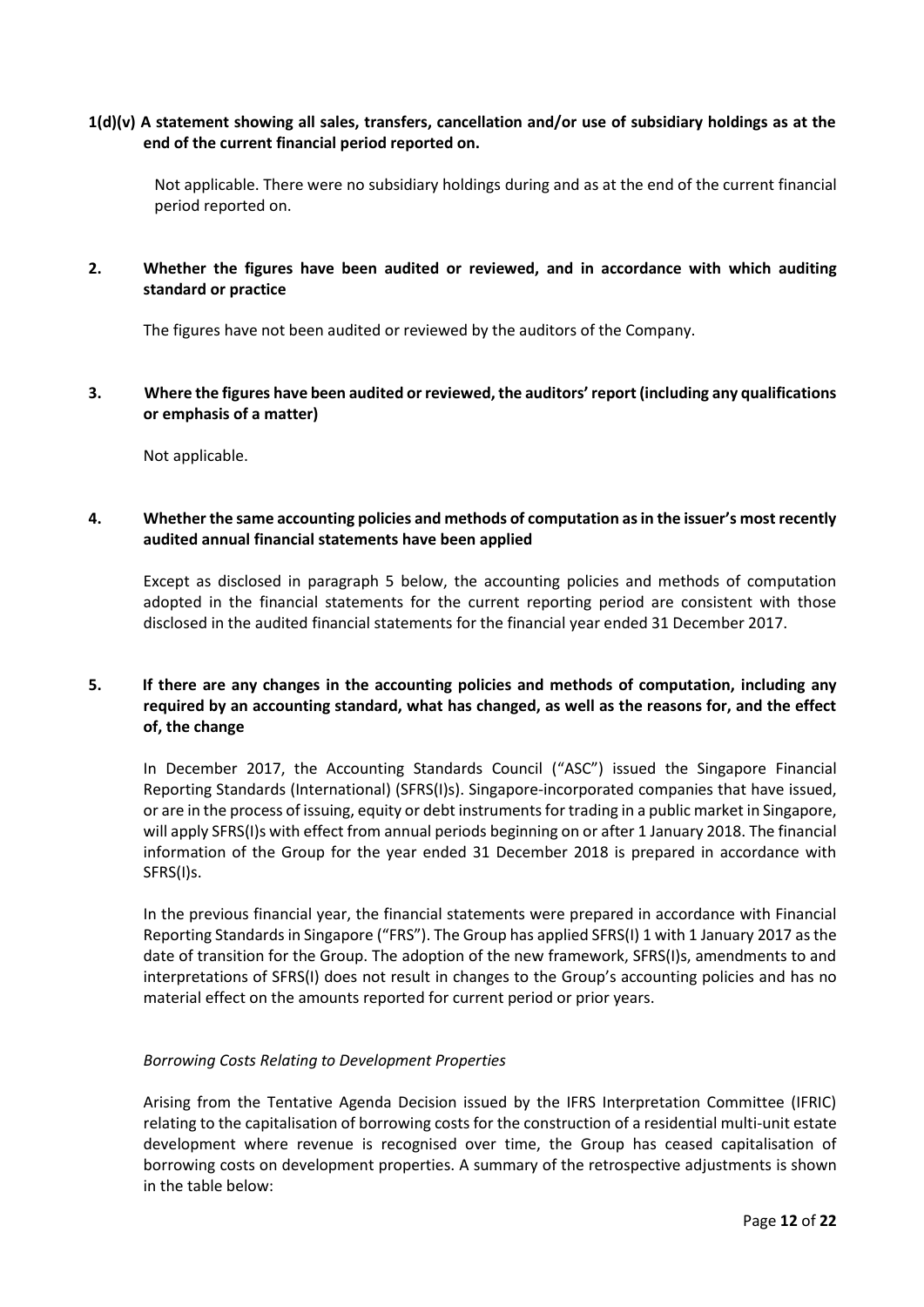# **1(d)(v) A statement showing all sales, transfers, cancellation and/or use of subsidiary holdings as at the end of the current financial period reported on.**

Not applicable. There were no subsidiary holdings during and as at the end of the current financial period reported on.

# **2. Whether the figures have been audited or reviewed, and in accordance with which auditing standard or practice**

The figures have not been audited or reviewed by the auditors of the Company.

**3. Where the figures have been audited or reviewed, the auditors' report (including any qualifications or emphasis of a matter)**

Not applicable.

# **4. Whether the same accounting policies and methods of computation as in the issuer's most recently audited annual financial statements have been applied**

Except as disclosed in paragraph 5 below, the accounting policies and methods of computation adopted in the financial statements for the current reporting period are consistent with those disclosed in the audited financial statements for the financial year ended 31 December 2017.

# **5. If there are any changes in the accounting policies and methods of computation, including any required by an accounting standard, what has changed, as well as the reasons for, and the effect of, the change**

In December 2017, the Accounting Standards Council ("ASC") issued the Singapore Financial Reporting Standards (International) (SFRS(I)s). Singapore-incorporated companies that have issued, or are in the process of issuing, equity or debt instruments for trading in a public market in Singapore, will apply SFRS(I)s with effect from annual periods beginning on or after 1 January 2018. The financial information of the Group for the year ended 31 December 2018 is prepared in accordance with SFRS(I)s.

In the previous financial year, the financial statements were prepared in accordance with Financial Reporting Standards in Singapore ("FRS"). The Group has applied SFRS(I) 1 with 1 January 2017 as the date of transition for the Group. The adoption of the new framework, SFRS(I)s, amendments to and interpretations of SFRS(I) does not result in changes to the Group's accounting policies and has no material effect on the amounts reported for current period or prior years.

## *Borrowing Costs Relating to Development Properties*

Arising from the Tentative Agenda Decision issued by the IFRS Interpretation Committee (IFRIC) relating to the capitalisation of borrowing costs for the construction of a residential multi-unit estate development where revenue is recognised over time, the Group has ceased capitalisation of borrowing costs on development properties. A summary of the retrospective adjustments is shown in the table below: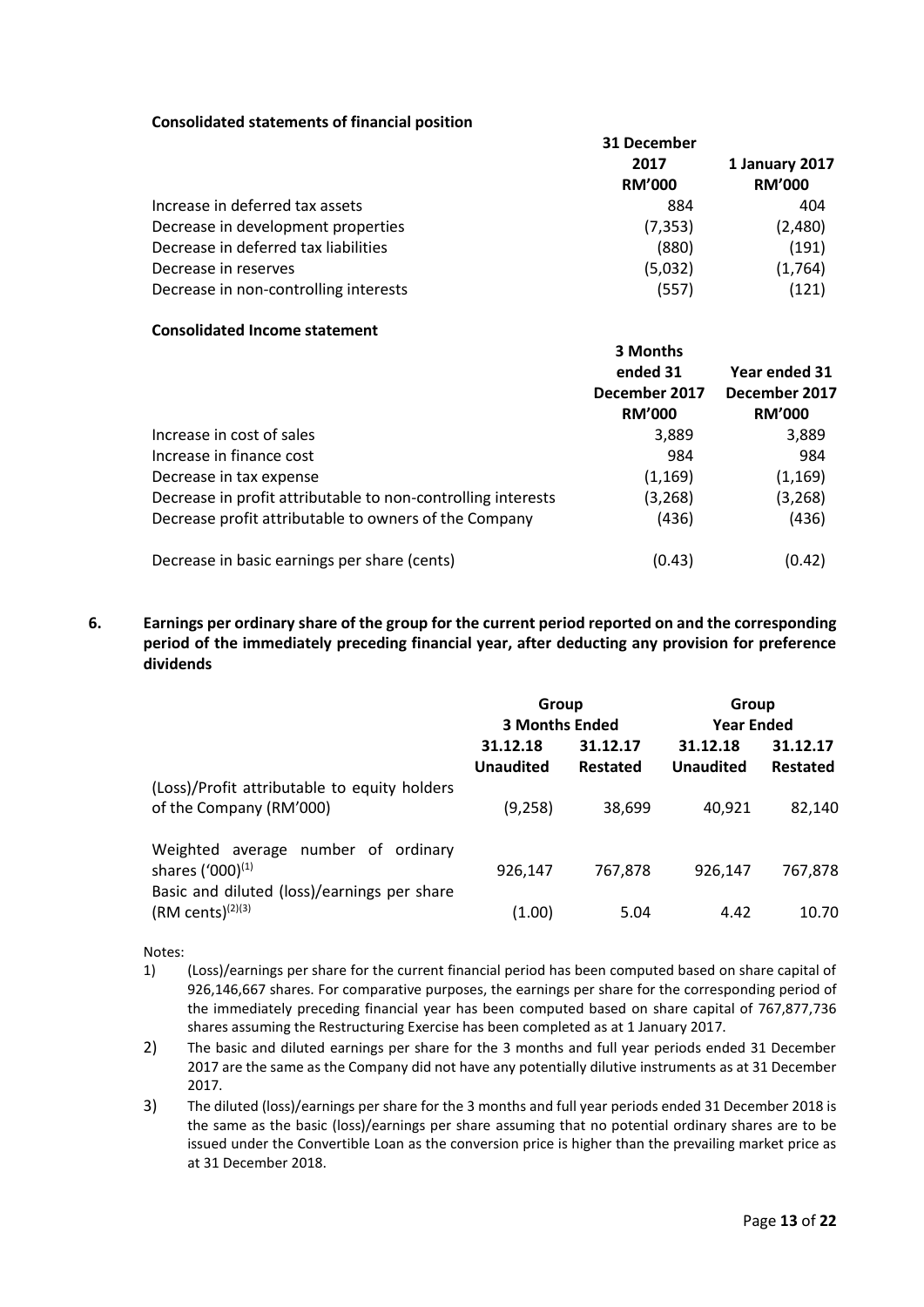### **Consolidated statements of financial position**

|                                       | 31 December   |                |  |
|---------------------------------------|---------------|----------------|--|
|                                       | 2017          | 1 January 2017 |  |
|                                       | <b>RM'000</b> | <b>RM'000</b>  |  |
| Increase in deferred tax assets       | 884           | 404            |  |
| Decrease in development properties    | (7, 353)      | (2,480)        |  |
| Decrease in deferred tax liabilities  | (880)         | (191)          |  |
| Decrease in reserves                  | (5,032)       | (1,764)        |  |
| Decrease in non-controlling interests | (557)         | (121)          |  |

#### **Consolidated Income statement**

|                                                              | 3 Months<br>ended 31<br>December 2017<br><b>RM'000</b> | Year ended 31<br>December 2017<br><b>RM'000</b> |
|--------------------------------------------------------------|--------------------------------------------------------|-------------------------------------------------|
| Increase in cost of sales                                    | 3,889                                                  | 3,889                                           |
| Increase in finance cost                                     | 984                                                    | 984                                             |
| Decrease in tax expense                                      | (1, 169)                                               | (1, 169)                                        |
| Decrease in profit attributable to non-controlling interests | (3,268)                                                | (3, 268)                                        |
| Decrease profit attributable to owners of the Company        | (436)                                                  | (436)                                           |
| Decrease in basic earnings per share (cents)                 | (0.43)                                                 | (0.42)                                          |

# **6. Earnings per ordinary share of the group for the current period reported on and the corresponding period of the immediately preceding financial year, after deducting any provision for preference dividends**

|                                                                                                                                      | Group<br><b>3 Months Ended</b>                                   |         | Group<br><b>Year Ended</b> |                      |  |
|--------------------------------------------------------------------------------------------------------------------------------------|------------------------------------------------------------------|---------|----------------------------|----------------------|--|
|                                                                                                                                      | 31.12.18<br>31.12.18<br>31.12.17<br><b>Unaudited</b><br>Restated |         | <b>Unaudited</b>           | 31.12.17<br>Restated |  |
| (Loss)/Profit attributable to equity holders<br>of the Company (RM'000)                                                              | (9, 258)                                                         | 38,699  | 40,921                     | 82,140               |  |
| number of ordinary<br>Weighted average<br>shares $(′000)$ <sup><math>(1)</math></sup><br>Basic and diluted (loss)/earnings per share | 926,147                                                          | 767,878 | 926,147                    | 767,878              |  |
| $(RM cents)^{(2)(3)}$                                                                                                                | (1.00)                                                           | 5.04    | 4.42                       | 10.70                |  |

Notes:

- 1) (Loss)/earnings per share for the current financial period has been computed based on share capital of 926,146,667 shares. For comparative purposes, the earnings per share for the corresponding period of the immediately preceding financial year has been computed based on share capital of 767,877,736 shares assuming the Restructuring Exercise has been completed as at 1 January 2017.
- 2) The basic and diluted earnings per share for the 3 months and full year periods ended 31 December 2017 are the same as the Company did not have any potentially dilutive instruments as at 31 December 2017.
- 3) The diluted (loss)/earnings per share for the 3 months and full year periods ended 31 December 2018 is the same as the basic (loss)/earnings per share assuming that no potential ordinary shares are to be issued under the Convertible Loan as the conversion price is higher than the prevailing market price as at 31 December 2018.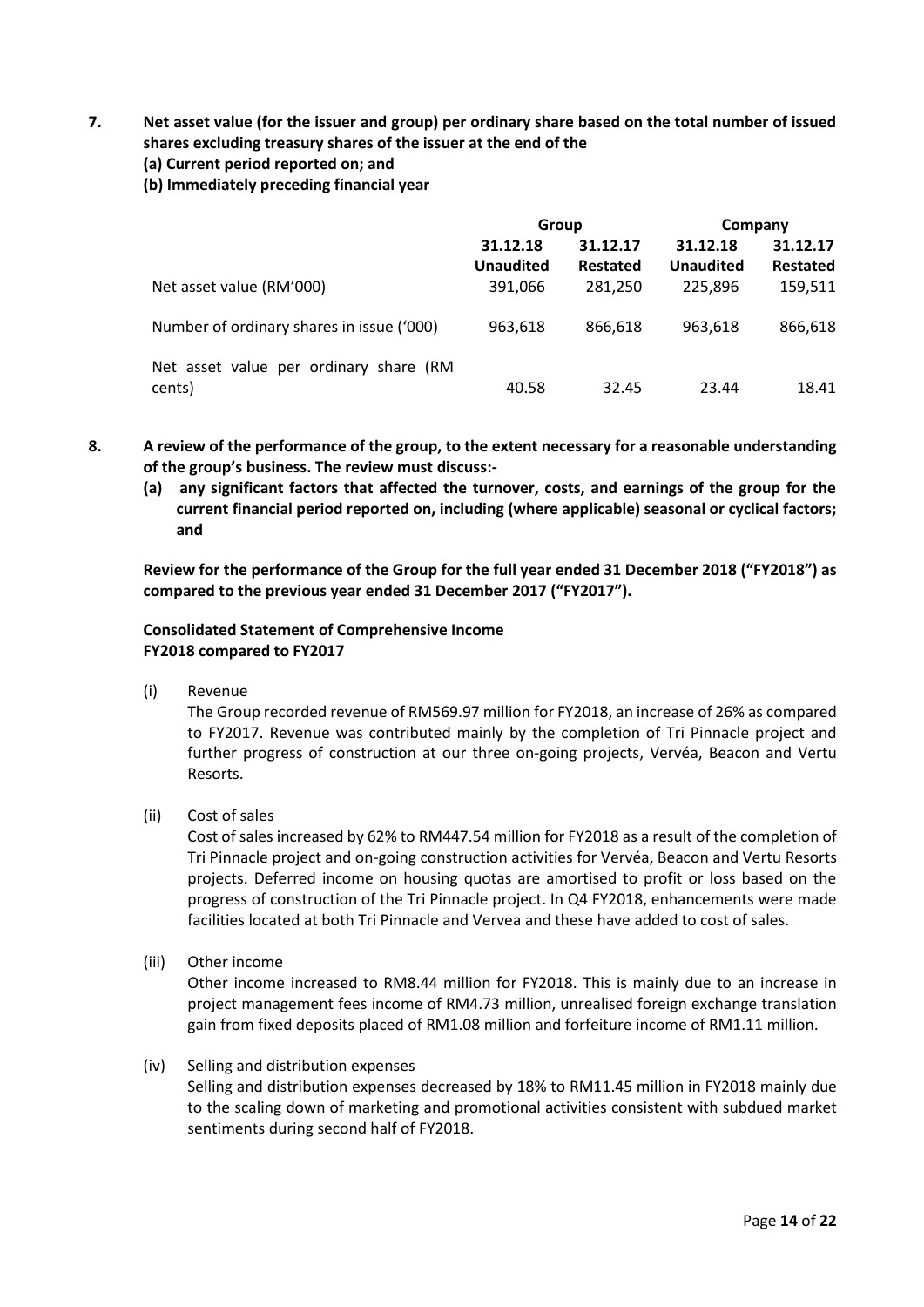**7. Net asset value (for the issuer and group) per ordinary share based on the total number of issued shares excluding treasury shares of the issuer at the end of the**

# **(a) Current period reported on; and**

**(b) Immediately preceding financial year**

|                                           | Group                |                 | Company          |                 |  |
|-------------------------------------------|----------------------|-----------------|------------------|-----------------|--|
|                                           | 31.12.18<br>31.12.17 |                 | 31.12.18         | 31.12.17        |  |
|                                           | <b>Unaudited</b>     | <b>Restated</b> | <b>Unaudited</b> | <b>Restated</b> |  |
| Net asset value (RM'000)                  | 391,066              | 281,250         | 225,896          | 159,511         |  |
| Number of ordinary shares in issue ('000) | 963,618              | 866,618         | 963,618          | 866,618         |  |
| Net asset value per ordinary share (RM    |                      |                 |                  |                 |  |
| cents)                                    | 40.58                | 32.45           | 23.44            | 18.41           |  |

- **8. A review of the performance of the group, to the extent necessary for a reasonable understanding of the group's business. The review must discuss:-**
	- **(a) any significant factors that affected the turnover, costs, and earnings of the group for the current financial period reported on, including (where applicable) seasonal or cyclical factors; and**

**Review for the performance of the Group for the full year ended 31 December 2018 ("FY2018") as compared to the previous year ended 31 December 2017 ("FY2017").**

# **Consolidated Statement of Comprehensive Income FY2018 compared to FY2017**

(i) Revenue

The Group recorded revenue of RM569.97 million for FY2018, an increase of 26% as compared to FY2017. Revenue was contributed mainly by the completion of Tri Pinnacle project and further progress of construction at our three on-going projects, Vervéa, Beacon and Vertu Resorts.

(ii) Cost of sales

Cost of sales increased by 62% to RM447.54 million for FY2018 as a result of the completion of Tri Pinnacle project and on-going construction activities for Vervéa, Beacon and Vertu Resorts projects. Deferred income on housing quotas are amortised to profit or loss based on the progress of construction of the Tri Pinnacle project. In Q4 FY2018, enhancements were made facilities located at both Tri Pinnacle and Vervea and these have added to cost of sales.

(iii) Other income

Other income increased to RM8.44 million for FY2018. This is mainly due to an increase in project management fees income of RM4.73 million, unrealised foreign exchange translation gain from fixed deposits placed of RM1.08 million and forfeiture income of RM1.11 million.

(iv) Selling and distribution expenses

Selling and distribution expenses decreased by 18% to RM11.45 million in FY2018 mainly due to the scaling down of marketing and promotional activities consistent with subdued market sentiments during second half of FY2018.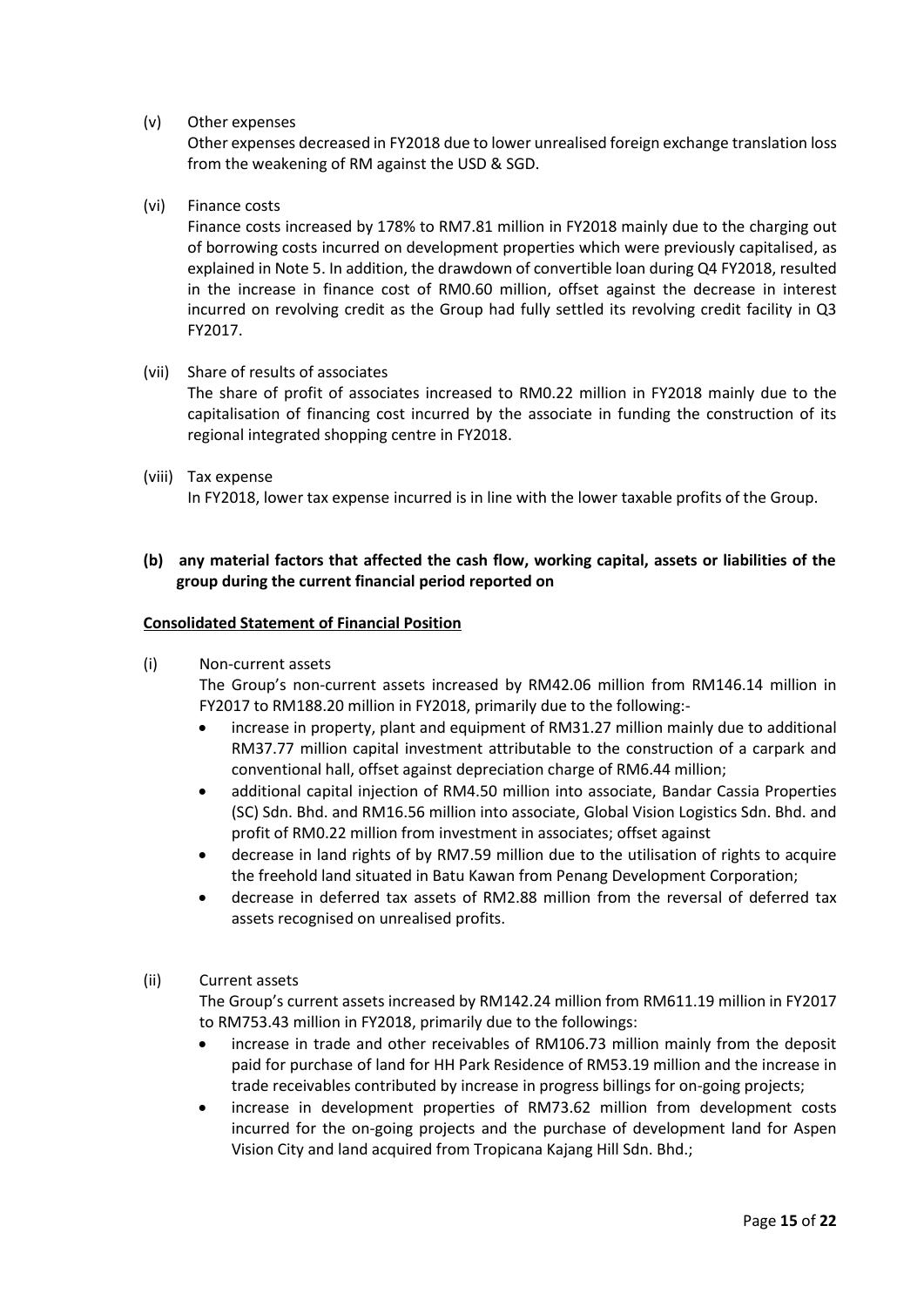## (v) Other expenses

Other expenses decreased in FY2018 due to lower unrealised foreign exchange translation loss from the weakening of RM against the USD & SGD.

#### (vi) Finance costs

Finance costs increased by 178% to RM7.81 million in FY2018 mainly due to the charging out of borrowing costs incurred on development properties which were previously capitalised, as explained in Note 5. In addition, the drawdown of convertible loan during Q4 FY2018, resulted in the increase in finance cost of RM0.60 million, offset against the decrease in interest incurred on revolving credit as the Group had fully settled its revolving credit facility in Q3 FY2017.

#### (vii) Share of results of associates

The share of profit of associates increased to RM0.22 million in FY2018 mainly due to the capitalisation of financing cost incurred by the associate in funding the construction of its regional integrated shopping centre in FY2018.

#### (viii) Tax expense

In FY2018, lower tax expense incurred is in line with the lower taxable profits of the Group.

# **(b) any material factors that affected the cash flow, working capital, assets or liabilities of the group during the current financial period reported on**

#### **Consolidated Statement of Financial Position**

(i) Non-current assets

The Group's non-current assets increased by RM42.06 million from RM146.14 million in FY2017 to RM188.20 million in FY2018, primarily due to the following:-

- increase in property, plant and equipment of RM31.27 million mainly due to additional RM37.77 million capital investment attributable to the construction of a carpark and conventional hall, offset against depreciation charge of RM6.44 million;
- additional capital injection of RM4.50 million into associate, Bandar Cassia Properties (SC) Sdn. Bhd. and RM16.56 million into associate, Global Vision Logistics Sdn. Bhd. and profit of RM0.22 million from investment in associates; offset against
- decrease in land rights of by RM7.59 million due to the utilisation of rights to acquire the freehold land situated in Batu Kawan from Penang Development Corporation;
- decrease in deferred tax assets of RM2.88 million from the reversal of deferred tax assets recognised on unrealised profits.

## (ii) Current assets

The Group's current assets increased by RM142.24 million from RM611.19 million in FY2017 to RM753.43 million in FY2018, primarily due to the followings:

- increase in trade and other receivables of RM106.73 million mainly from the deposit paid for purchase of land for HH Park Residence of RM53.19 million and the increase in trade receivables contributed by increase in progress billings for on-going projects;
- increase in development properties of RM73.62 million from development costs incurred for the on-going projects and the purchase of development land for Aspen Vision City and land acquired from Tropicana Kajang Hill Sdn. Bhd.;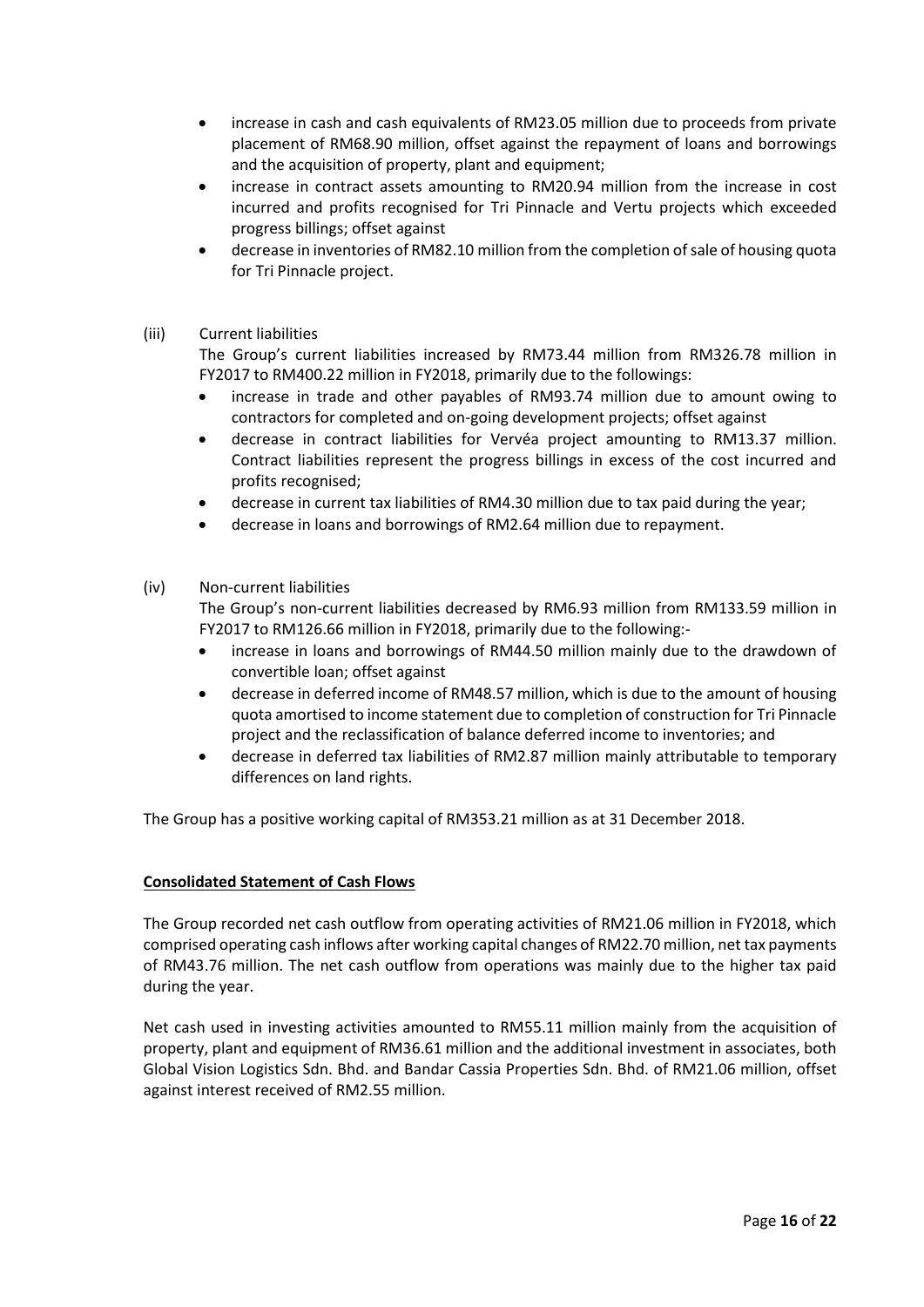- increase in cash and cash equivalents of RM23.05 million due to proceeds from private placement of RM68.90 million, offset against the repayment of loans and borrowings and the acquisition of property, plant and equipment;
- increase in contract assets amounting to RM20.94 million from the increase in cost incurred and profits recognised for Tri Pinnacle and Vertu projects which exceeded progress billings; offset against
- decrease in inventories of RM82.10 million from the completion of sale of housing quota for Tri Pinnacle project.

# (iii) Current liabilities

The Group's current liabilities increased by RM73.44 million from RM326.78 million in FY2017 to RM400.22 million in FY2018, primarily due to the followings:

- increase in trade and other payables of RM93.74 million due to amount owing to contractors for completed and on-going development projects; offset against
- decrease in contract liabilities for Vervéa project amounting to RM13.37 million. Contract liabilities represent the progress billings in excess of the cost incurred and profits recognised;
- decrease in current tax liabilities of RM4.30 million due to tax paid during the year;
- decrease in loans and borrowings of RM2.64 million due to repayment.

## (iv) Non-current liabilities

The Group's non-current liabilities decreased by RM6.93 million from RM133.59 million in FY2017 to RM126.66 million in FY2018, primarily due to the following:-

- increase in loans and borrowings of RM44.50 million mainly due to the drawdown of convertible loan; offset against
- decrease in deferred income of RM48.57 million, which is due to the amount of housing quota amortised to income statement due to completion of construction for Tri Pinnacle project and the reclassification of balance deferred income to inventories; and
- decrease in deferred tax liabilities of RM2.87 million mainly attributable to temporary differences on land rights.

The Group has a positive working capital of RM353.21 million as at 31 December 2018.

## **Consolidated Statement of Cash Flows**

The Group recorded net cash outflow from operating activities of RM21.06 million in FY2018, which comprised operating cash inflows after working capital changes of RM22.70 million, net tax payments of RM43.76 million. The net cash outflow from operations was mainly due to the higher tax paid during the year.

Net cash used in investing activities amounted to RM55.11 million mainly from the acquisition of property, plant and equipment of RM36.61 million and the additional investment in associates, both Global Vision Logistics Sdn. Bhd. and Bandar Cassia Properties Sdn. Bhd. of RM21.06 million, offset against interest received of RM2.55 million.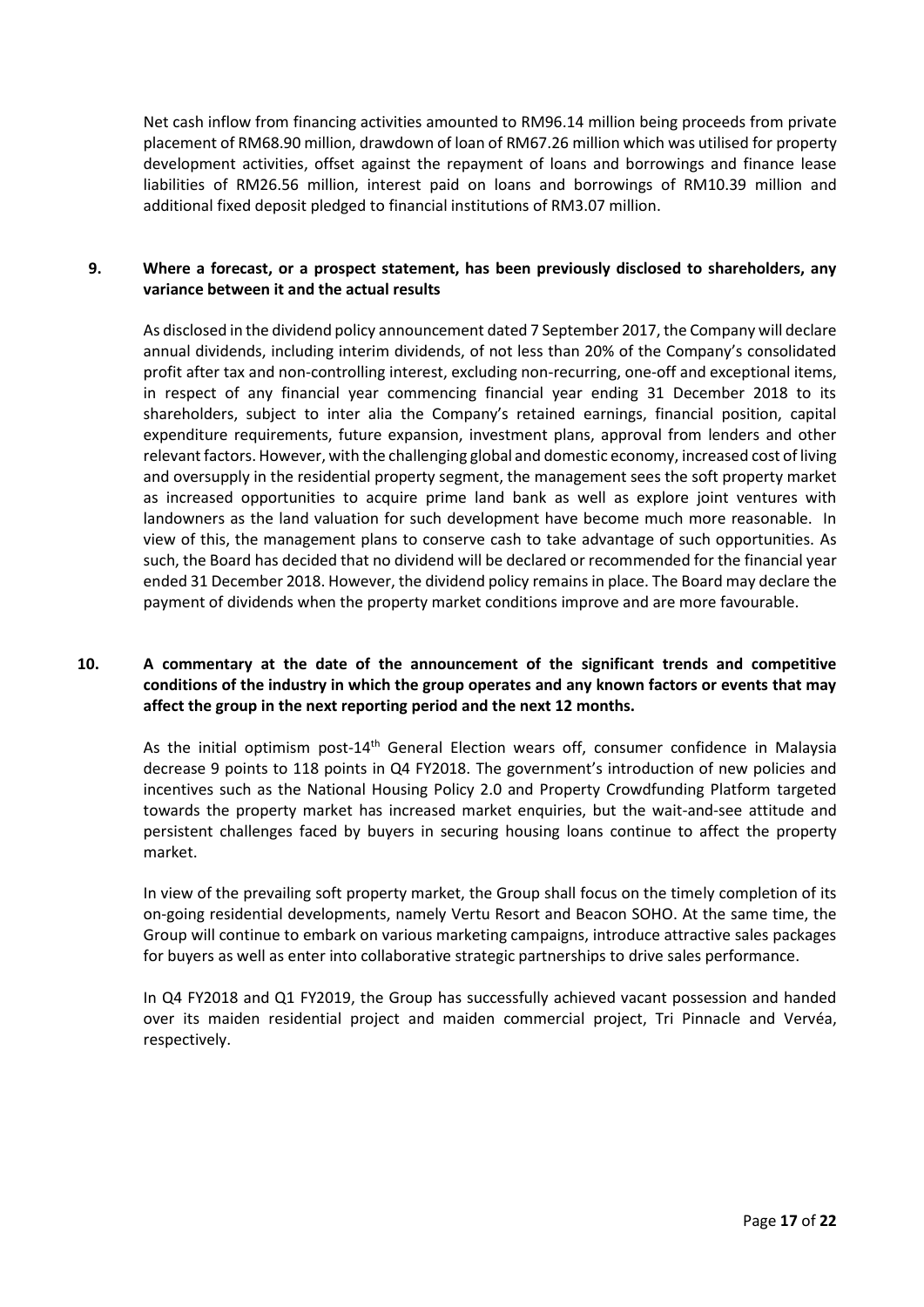Net cash inflow from financing activities amounted to RM96.14 million being proceeds from private placement of RM68.90 million, drawdown of loan of RM67.26 million which was utilised for property development activities, offset against the repayment of loans and borrowings and finance lease liabilities of RM26.56 million, interest paid on loans and borrowings of RM10.39 million and additional fixed deposit pledged to financial institutions of RM3.07 million.

# **9. Where a forecast, or a prospect statement, has been previously disclosed to shareholders, any variance between it and the actual results**

As disclosed in the dividend policy announcement dated 7 September 2017, the Company will declare annual dividends, including interim dividends, of not less than 20% of the Company's consolidated profit after tax and non-controlling interest, excluding non-recurring, one-off and exceptional items, in respect of any financial year commencing financial year ending 31 December 2018 to its shareholders, subject to inter alia the Company's retained earnings, financial position, capital expenditure requirements, future expansion, investment plans, approval from lenders and other relevant factors. However, with the challenging global and domestic economy, increased cost of living and oversupply in the residential property segment, the management sees the soft property market as increased opportunities to acquire prime land bank as well as explore joint ventures with landowners as the land valuation for such development have become much more reasonable. In view of this, the management plans to conserve cash to take advantage of such opportunities. As such, the Board has decided that no dividend will be declared or recommended for the financial year ended 31 December 2018. However, the dividend policy remains in place. The Board may declare the payment of dividends when the property market conditions improve and are more favourable.

# **10. A commentary at the date of the announcement of the significant trends and competitive conditions of the industry in which the group operates and any known factors or events that may affect the group in the next reporting period and the next 12 months.**

As the initial optimism post-14<sup>th</sup> General Election wears off, consumer confidence in Malaysia decrease 9 points to 118 points in Q4 FY2018. The government's introduction of new policies and incentives such as the National Housing Policy 2.0 and Property Crowdfunding Platform targeted towards the property market has increased market enquiries, but the wait-and-see attitude and persistent challenges faced by buyers in securing housing loans continue to affect the property market.

In view of the prevailing soft property market, the Group shall focus on the timely completion of its on-going residential developments, namely Vertu Resort and Beacon SOHO. At the same time, the Group will continue to embark on various marketing campaigns, introduce attractive sales packages for buyers as well as enter into collaborative strategic partnerships to drive sales performance.

In Q4 FY2018 and Q1 FY2019, the Group has successfully achieved vacant possession and handed over its maiden residential project and maiden commercial project, Tri Pinnacle and Vervéa, respectively.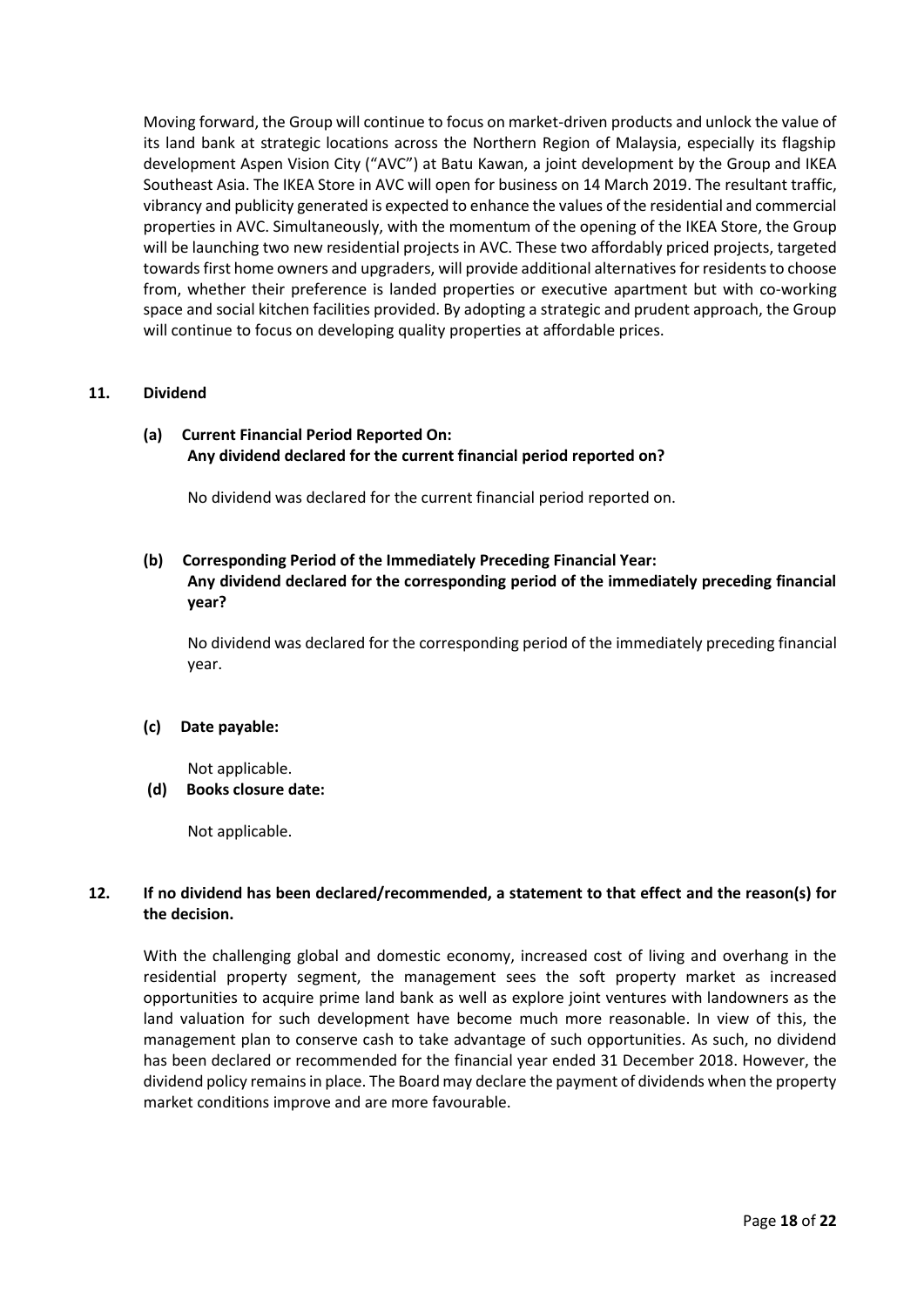Moving forward, the Group will continue to focus on market-driven products and unlock the value of its land bank at strategic locations across the Northern Region of Malaysia, especially its flagship development Aspen Vision City ("AVC") at Batu Kawan, a joint development by the Group and IKEA Southeast Asia. The IKEA Store in AVC will open for business on 14 March 2019. The resultant traffic, vibrancy and publicity generated is expected to enhance the values of the residential and commercial properties in AVC. Simultaneously, with the momentum of the opening of the IKEA Store, the Group will be launching two new residential projects in AVC. These two affordably priced projects, targeted towards first home owners and upgraders, will provide additional alternatives for residents to choose from, whether their preference is landed properties or executive apartment but with co-working space and social kitchen facilities provided. By adopting a strategic and prudent approach, the Group will continue to focus on developing quality properties at affordable prices.

## **11. Dividend**

# **(a) Current Financial Period Reported On: Any dividend declared for the current financial period reported on?**

No dividend was declared for the current financial period reported on.

# **(b) Corresponding Period of the Immediately Preceding Financial Year: Any dividend declared for the corresponding period of the immediately preceding financial year?**

No dividend was declared for the corresponding period of the immediately preceding financial year.

## **(c) Date payable:**

Not applicable.

## **(d) Books closure date:**

Not applicable.

# **12. If no dividend has been declared/recommended, a statement to that effect and the reason(s) for the decision.**

With the challenging global and domestic economy, increased cost of living and overhang in the residential property segment, the management sees the soft property market as increased opportunities to acquire prime land bank as well as explore joint ventures with landowners as the land valuation for such development have become much more reasonable. In view of this, the management plan to conserve cash to take advantage of such opportunities. As such, no dividend has been declared or recommended for the financial year ended 31 December 2018. However, the dividend policy remains in place. The Board may declare the payment of dividends when the property market conditions improve and are more favourable.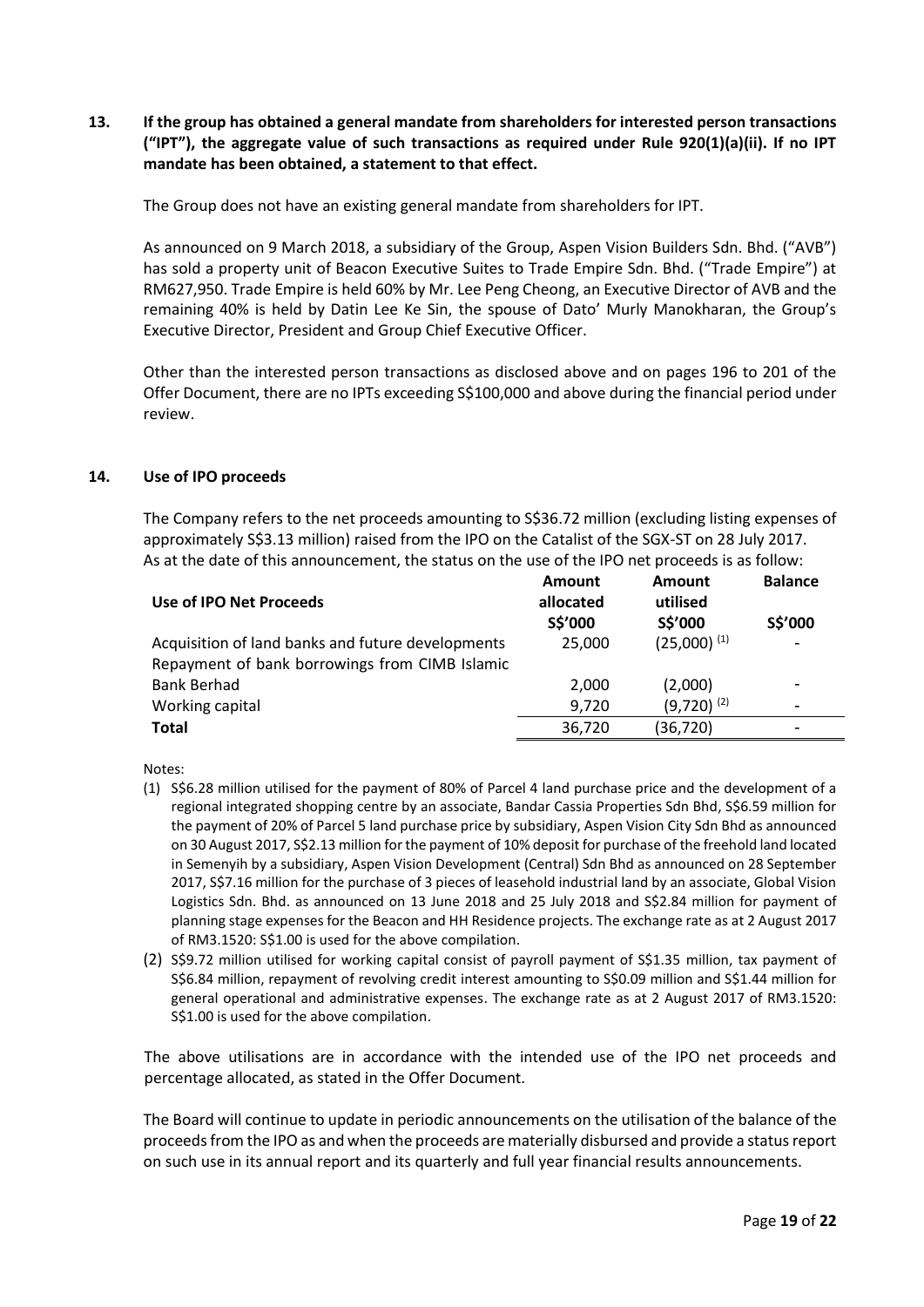# **13. If the group has obtained a general mandate from shareholders for interested person transactions ("IPT"), the aggregate value of such transactions as required under Rule 920(1)(a)(ii). If no IPT mandate has been obtained, a statement to that effect.**

The Group does not have an existing general mandate from shareholders for IPT.

As announced on 9 March 2018, a subsidiary of the Group, Aspen Vision Builders Sdn. Bhd. ("AVB") has sold a property unit of Beacon Executive Suites to Trade Empire Sdn. Bhd. ("Trade Empire") at RM627,950. Trade Empire is held 60% by Mr. Lee Peng Cheong, an Executive Director of AVB and the remaining 40% is held by Datin Lee Ke Sin, the spouse of Dato' Murly Manokharan, the Group's Executive Director, President and Group Chief Executive Officer.

Other than the interested person transactions as disclosed above and on pages 196 to 201 of the Offer Document, there are no IPTs exceeding S\$100,000 and above during the financial period under review.

#### **14. Use of IPO proceeds**

The Company refers to the net proceeds amounting to S\$36.72 million (excluding listing expenses of approximately S\$3.13 million) raised from the IPO on the Catalist of the SGX-ST on 28 July 2017. As at the date of this announcement, the status on the use of the IPO net proceeds is as follow:

| Use of IPO Net Proceeds                           | Amount<br>allocated | Amount<br>utilised | <b>Balance</b> |
|---------------------------------------------------|---------------------|--------------------|----------------|
|                                                   | S\$'000             | S\$'000            | S\$'000        |
| Acquisition of land banks and future developments | 25,000              | $(25,000)^{(1)}$   | ٠              |
| Repayment of bank borrowings from CIMB Islamic    |                     |                    |                |
| <b>Bank Berhad</b>                                | 2.000               | (2,000)            | ۰              |
| Working capital                                   | 9.720               | $(9,720)^{(2)}$    | -              |
| <b>Total</b>                                      | 36,720              | (36, 720)          | ۰              |

Notes:

- (1) S\$6.28 million utilised for the payment of 80% of Parcel 4 land purchase price and the development of a regional integrated shopping centre by an associate, Bandar Cassia Properties Sdn Bhd, S\$6.59 million for the payment of 20% of Parcel 5 land purchase price by subsidiary, Aspen Vision City Sdn Bhd as announced on 30 August 2017, S\$2.13 million for the payment of 10% deposit for purchase of the freehold land located in Semenyih by a subsidiary, Aspen Vision Development (Central) Sdn Bhd as announced on 28 September 2017, S\$7.16 million for the purchase of 3 pieces of leasehold industrial land by an associate, Global Vision Logistics Sdn. Bhd. as announced on 13 June 2018 and 25 July 2018 and S\$2.84 million for payment of planning stage expenses for the Beacon and HH Residence projects. The exchange rate as at 2 August 2017 of RM3.1520: S\$1.00 is used for the above compilation.
- (2) S\$9.72 million utilised for working capital consist of payroll payment of S\$1.35 million, tax payment of S\$6.84 million, repayment of revolving credit interest amounting to S\$0.09 million and S\$1.44 million for general operational and administrative expenses. The exchange rate as at 2 August 2017 of RM3.1520: S\$1.00 is used for the above compilation.

The above utilisations are in accordance with the intended use of the IPO net proceeds and percentage allocated, as stated in the Offer Document.

The Board will continue to update in periodic announcements on the utilisation of the balance of the proceeds from the IPO as and when the proceeds are materially disbursed and provide a status report on such use in its annual report and its quarterly and full year financial results announcements.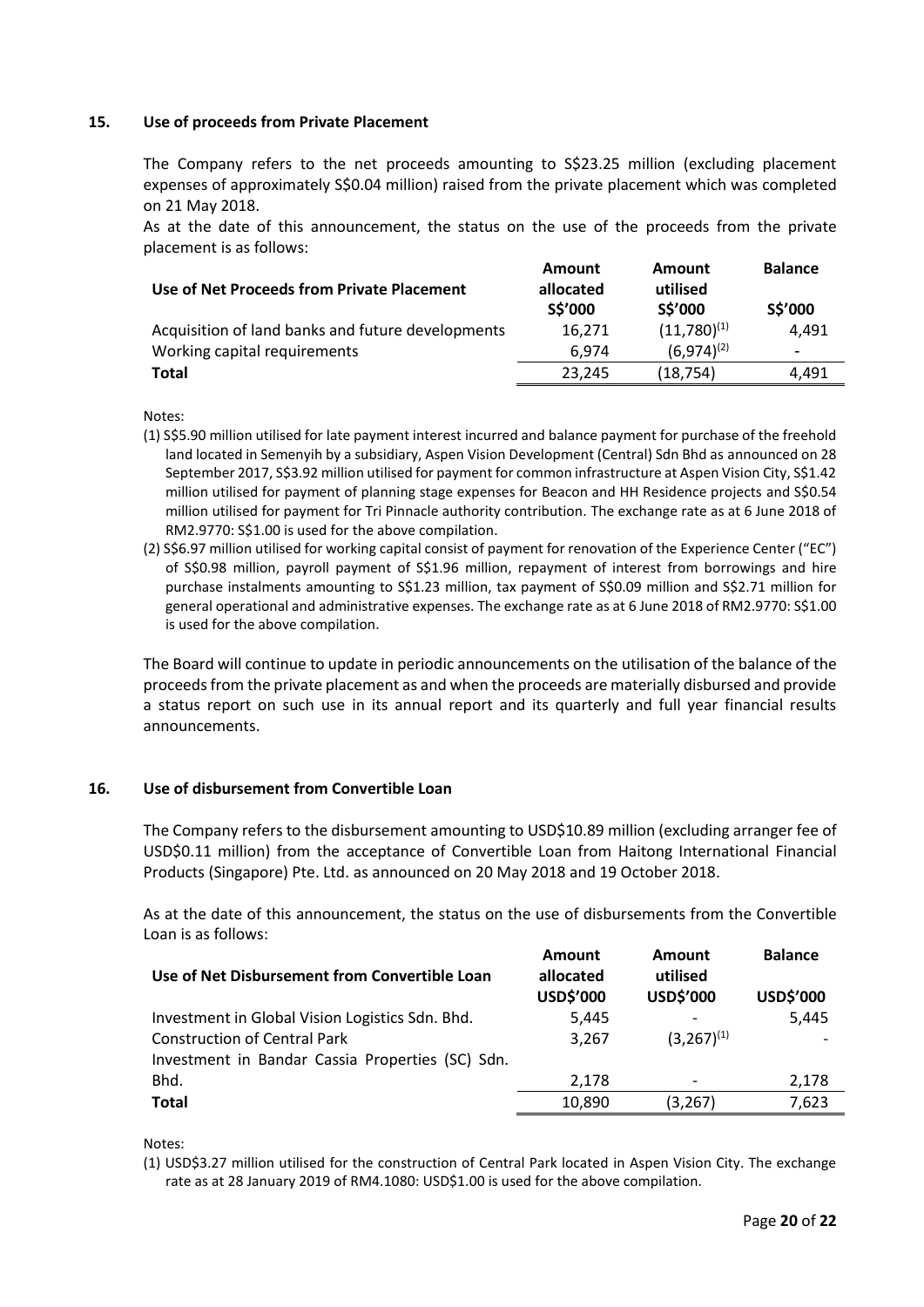## **15. Use of proceeds from Private Placement**

The Company refers to the net proceeds amounting to S\$23.25 million (excluding placement expenses of approximately S\$0.04 million) raised from the private placement which was completed on 21 May 2018.

As at the date of this announcement, the status on the use of the proceeds from the private placement is as follows:

| Use of Net Proceeds from Private Placement        | Amount<br>allocated<br>S\$'000 | <b>Amount</b><br>utilised<br>S\$'000 | <b>Balance</b><br>S\$'000 |
|---------------------------------------------------|--------------------------------|--------------------------------------|---------------------------|
| Acquisition of land banks and future developments | 16.271                         | $(11,780)^{(1)}$                     | 4.491                     |
| Working capital requirements                      | 6.974                          | $(6.974)^{(2)}$                      | $\,$                      |
| Total                                             | 23.245                         | (18, 754)                            | 4.491                     |

Notes:

- (1) S\$5.90 million utilised for late payment interest incurred and balance payment for purchase of the freehold land located in Semenyih by a subsidiary, Aspen Vision Development (Central) Sdn Bhd as announced on 28 September 2017, S\$3.92 million utilised for payment for common infrastructure at Aspen Vision City, S\$1.42 million utilised for payment of planning stage expenses for Beacon and HH Residence projects and S\$0.54 million utilised for payment for Tri Pinnacle authority contribution. The exchange rate as at 6 June 2018 of RM2.9770: S\$1.00 is used for the above compilation.
- (2) S\$6.97 million utilised for working capital consist of payment for renovation of the Experience Center ("EC") of S\$0.98 million, payroll payment of S\$1.96 million, repayment of interest from borrowings and hire purchase instalments amounting to S\$1.23 million, tax payment of S\$0.09 million and S\$2.71 million for general operational and administrative expenses. The exchange rate as at 6 June 2018 of RM2.9770: S\$1.00 is used for the above compilation.

The Board will continue to update in periodic announcements on the utilisation of the balance of the proceeds from the private placement as and when the proceeds are materially disbursed and provide a status report on such use in its annual report and its quarterly and full year financial results announcements.

## **16. Use of disbursement from Convertible Loan**

The Company refers to the disbursement amounting to USD\$10.89 million (excluding arranger fee of USD\$0.11 million) from the acceptance of Convertible Loan from Haitong International Financial Products (Singapore) Pte. Ltd. as announced on 20 May 2018 and 19 October 2018.

As at the date of this announcement, the status on the use of disbursements from the Convertible Loan is as follows:

| Use of Net Disbursement from Convertible Loan    | Amount<br>allocated<br>USD\$'000 | Amount<br>utilised<br>USD\$'000 | <b>Balance</b><br>USD\$'000 |
|--------------------------------------------------|----------------------------------|---------------------------------|-----------------------------|
| Investment in Global Vision Logistics Sdn. Bhd.  | 5,445                            |                                 | 5,445                       |
| <b>Construction of Central Park</b>              | 3,267                            | $(3,267)^{(1)}$                 |                             |
| Investment in Bandar Cassia Properties (SC) Sdn. |                                  |                                 |                             |
| Bhd.                                             | 2,178                            |                                 | 2,178                       |
| <b>Total</b>                                     | 10,890                           | (3,267)                         | 7,623                       |

Notes:

<sup>(1)</sup> USD\$3.27 million utilised for the construction of Central Park located in Aspen Vision City. The exchange rate as at 28 January 2019 of RM4.1080: USD\$1.00 is used for the above compilation.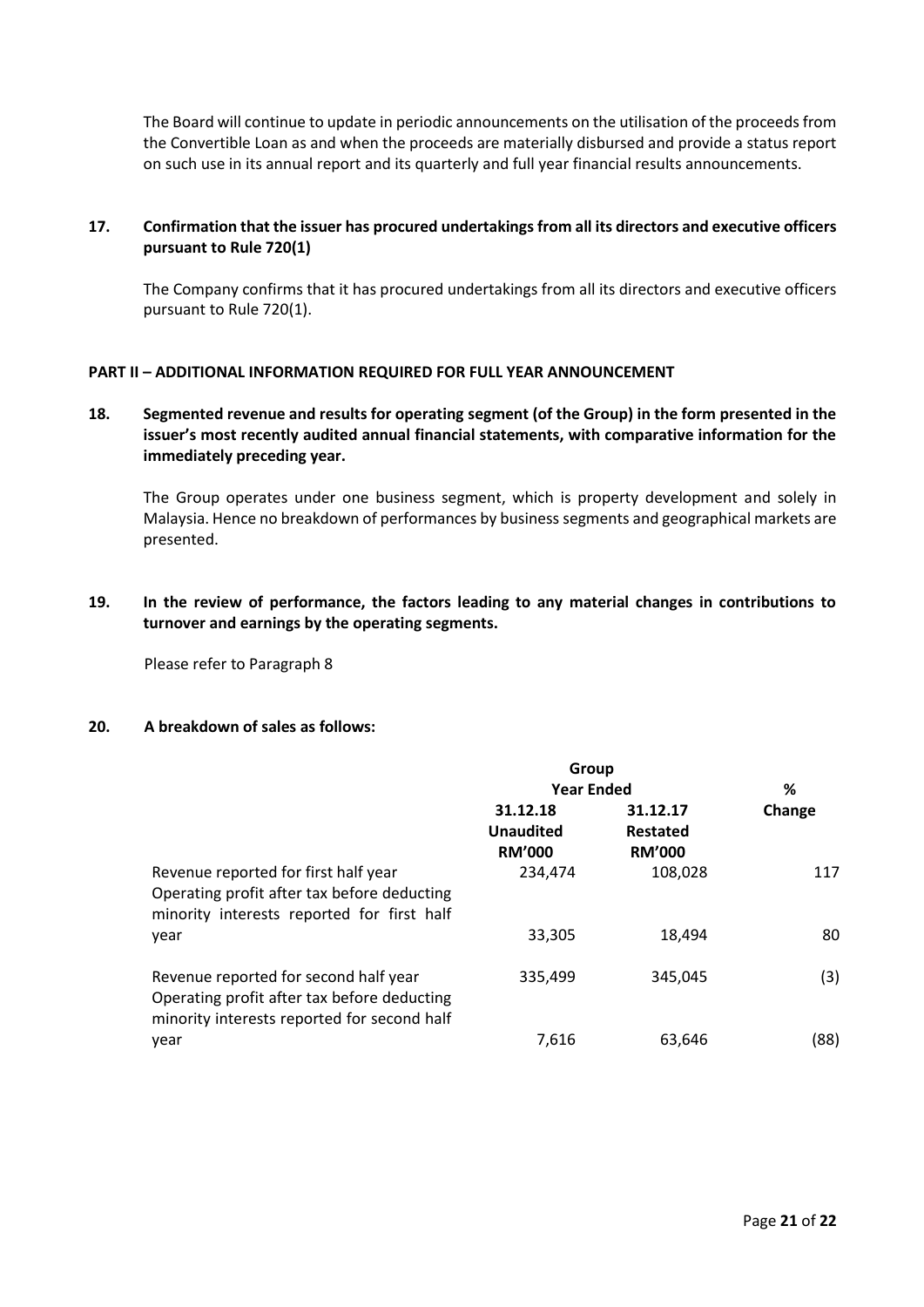The Board will continue to update in periodic announcements on the utilisation of the proceeds from the Convertible Loan as and when the proceeds are materially disbursed and provide a status report on such use in its annual report and its quarterly and full year financial results announcements.

# **17. Confirmation that the issuer has procured undertakings from all its directors and executive officers pursuant to Rule 720(1)**

The Company confirms that it has procured undertakings from all its directors and executive officers pursuant to Rule 720(1).

## **PART II – ADDITIONAL INFORMATION REQUIRED FOR FULL YEAR ANNOUNCEMENT**

**18. Segmented revenue and results for operating segment (of the Group) in the form presented in the issuer's most recently audited annual financial statements, with comparative information for the immediately preceding year.**

The Group operates under one business segment, which is property development and solely in Malaysia. Hence no breakdown of performances by business segments and geographical markets are presented.

**19. In the review of performance, the factors leading to any material changes in contributions to turnover and earnings by the operating segments.**

Please refer to Paragraph 8

# **20. A breakdown of sales as follows:**

|                                                                                                                                     | Group                                         |                                       |        |  |
|-------------------------------------------------------------------------------------------------------------------------------------|-----------------------------------------------|---------------------------------------|--------|--|
|                                                                                                                                     | <b>Year Ended</b>                             |                                       | %      |  |
|                                                                                                                                     | 31.12.18<br><b>Unaudited</b><br><b>RM'000</b> | 31.12.17<br>Restated<br><b>RM'000</b> | Change |  |
| Revenue reported for first half year<br>Operating profit after tax before deducting<br>minority interests reported for first half   | 234,474                                       | 108,028                               | 117    |  |
| year                                                                                                                                | 33,305                                        | 18,494                                | 80     |  |
| Revenue reported for second half year<br>Operating profit after tax before deducting<br>minority interests reported for second half | 335,499                                       | 345.045                               | (3)    |  |
| year                                                                                                                                | 7.616                                         | 63.646                                | (88)   |  |